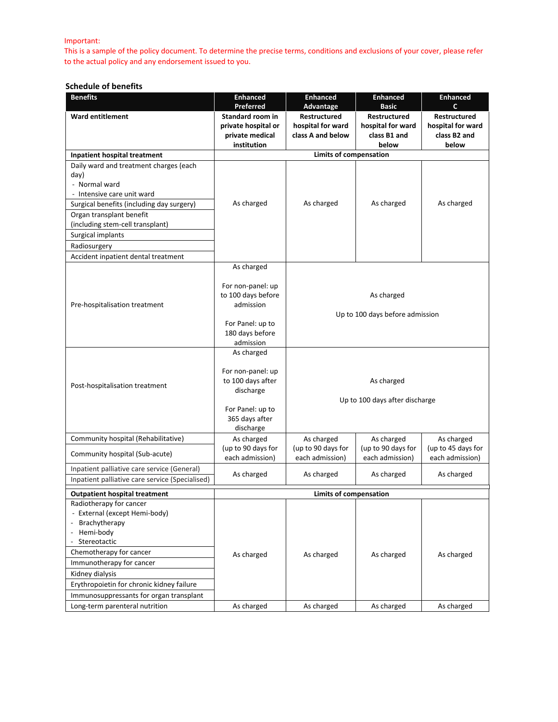#### Important:

This is a sample of the policy document. To determine the precise terms, conditions and exclusions of your cover, please refer to the actual policy and any endorsement issued to you.

#### **Schedule of benefits**

| <b>Benefits</b>                                                                                                                                                                                                                                                                        | <b>Enhanced</b><br>Preferred                                                                                         | <b>Enhanced</b><br>Advantage                                  | <b>Enhanced</b><br><b>Basic</b>                                   | <b>Enhanced</b><br>$\mathbf c$                                    |
|----------------------------------------------------------------------------------------------------------------------------------------------------------------------------------------------------------------------------------------------------------------------------------------|----------------------------------------------------------------------------------------------------------------------|---------------------------------------------------------------|-------------------------------------------------------------------|-------------------------------------------------------------------|
| <b>Ward entitlement</b>                                                                                                                                                                                                                                                                | Standard room in<br>private hospital or<br>private medical<br>institution                                            | <b>Restructured</b><br>hospital for ward<br>class A and below | <b>Restructured</b><br>hospital for ward<br>class B1 and<br>below | <b>Restructured</b><br>hospital for ward<br>class B2 and<br>below |
| Inpatient hospital treatment                                                                                                                                                                                                                                                           |                                                                                                                      | <b>Limits of compensation</b>                                 |                                                                   |                                                                   |
| Daily ward and treatment charges (each<br>day)<br>- Normal ward<br>- Intensive care unit ward<br>Surgical benefits (including day surgery)<br>Organ transplant benefit<br>(including stem-cell transplant)<br>Surgical implants<br>Radiosurgery<br>Accident inpatient dental treatment | As charged                                                                                                           | As charged                                                    | As charged                                                        | As charged                                                        |
|                                                                                                                                                                                                                                                                                        | As charged                                                                                                           |                                                               |                                                                   |                                                                   |
| Pre-hospitalisation treatment                                                                                                                                                                                                                                                          | For non-panel: up<br>to 100 days before<br>admission<br>For Panel: up to<br>180 days before<br>admission             | As charged<br>Up to 100 days before admission                 |                                                                   |                                                                   |
| Post-hospitalisation treatment                                                                                                                                                                                                                                                         | As charged<br>For non-panel: up<br>to 100 days after<br>discharge<br>For Panel: up to<br>365 days after<br>discharge | As charged<br>Up to 100 days after discharge                  |                                                                   |                                                                   |
| Community hospital (Rehabilitative)                                                                                                                                                                                                                                                    | As charged                                                                                                           | As charged                                                    | As charged                                                        | As charged                                                        |
| Community hospital (Sub-acute)                                                                                                                                                                                                                                                         | (up to 90 days for<br>each admission)                                                                                | (up to 90 days for<br>each admission)                         | (up to 90 days for<br>each admission)                             | (up to 45 days for<br>each admission)                             |
| Inpatient palliative care service (General)<br>Inpatient palliative care service (Specialised)                                                                                                                                                                                         | As charged                                                                                                           | As charged                                                    | As charged                                                        | As charged                                                        |
| <b>Outpatient hospital treatment</b>                                                                                                                                                                                                                                                   | Limits of compensation                                                                                               |                                                               |                                                                   |                                                                   |
| Radiotherapy for cancer<br>- External (except Hemi-body)<br>Brachytherapy<br>Hemi-body<br>Stereotactic<br>Chemotherapy for cancer<br>Immunotherapy for cancer<br>Kidney dialysis<br>Erythropoietin for chronic kidney failure<br>Immunosuppressants for organ transplant               | As charged                                                                                                           | As charged                                                    | As charged                                                        | As charged                                                        |
| Long-term parenteral nutrition                                                                                                                                                                                                                                                         | As charged                                                                                                           | As charged                                                    | As charged                                                        | As charged                                                        |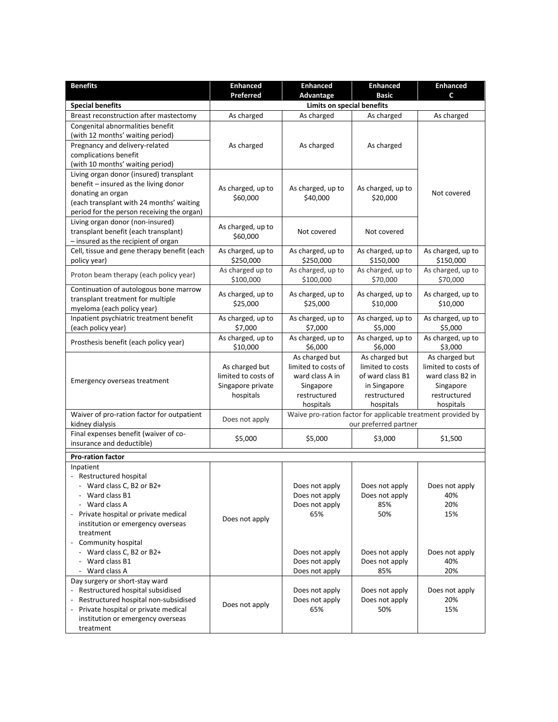| <b>Benefits</b>                                                          | <b>Enhanced</b>               | <b>Enhanced</b>                       | <b>Enhanced</b>                                              | <b>Enhanced</b>                       |
|--------------------------------------------------------------------------|-------------------------------|---------------------------------------|--------------------------------------------------------------|---------------------------------------|
|                                                                          | Preferred                     | Advantage                             | <b>Basic</b>                                                 | C                                     |
| <b>Special benefits</b>                                                  | Limits on special benefits    |                                       |                                                              |                                       |
| Breast reconstruction after mastectomy                                   | As charged                    | As charged                            | As charged                                                   | As charged                            |
| Congenital abnormalities benefit                                         |                               |                                       |                                                              |                                       |
| (with 12 months' waiting period)                                         |                               |                                       |                                                              |                                       |
| Pregnancy and delivery-related<br>complications benefit                  | As charged                    | As charged                            | As charged                                                   |                                       |
| (with 10 months' waiting period)                                         |                               |                                       |                                                              |                                       |
| Living organ donor (insured) transplant                                  |                               |                                       |                                                              |                                       |
| benefit - insured as the living donor                                    |                               |                                       |                                                              |                                       |
| donating an organ                                                        | As charged, up to             | As charged, up to                     | As charged, up to                                            | Not covered                           |
| (each transplant with 24 months' waiting                                 | \$60,000                      | \$40,000                              | \$20,000                                                     |                                       |
| period for the person receiving the organ)                               |                               |                                       |                                                              |                                       |
| Living organ donor (non-insured)                                         | As charged, up to             |                                       |                                                              |                                       |
| transplant benefit (each transplant)                                     | \$60,000                      | Not covered                           | Not covered                                                  |                                       |
| - insured as the recipient of organ                                      |                               |                                       |                                                              |                                       |
| Cell, tissue and gene therapy benefit (each                              | As charged, up to             | As charged, up to                     | As charged, up to                                            | As charged, up to                     |
| policy year)                                                             | \$250,000<br>As charged up to | \$250,000<br>As charged, up to        | \$150,000<br>As charged, up to                               | \$150,000<br>As charged, up to        |
| Proton beam therapy (each policy year)                                   | \$100,000                     | \$100,000                             | \$70,000                                                     | \$70,000                              |
| Continuation of autologous bone marrow                                   |                               |                                       |                                                              |                                       |
| transplant treatment for multiple                                        | As charged, up to             | As charged, up to                     | As charged, up to                                            | As charged, up to                     |
| myeloma (each policy year)                                               | \$25,000                      | \$25,000                              | \$10,000                                                     | \$10,000                              |
| Inpatient psychiatric treatment benefit                                  | As charged, up to             | As charged, up to                     | As charged, up to                                            | As charged, up to                     |
| (each policy year)                                                       | \$7,000                       | \$7,000                               | \$5,000                                                      | \$5,000                               |
| Prosthesis benefit (each policy year)                                    | As charged, up to             | As charged, up to                     | As charged, up to                                            | As charged, up to                     |
|                                                                          | \$10,000                      | \$6,000                               | \$6,000                                                      | \$3,000                               |
|                                                                          | As charged but                | As charged but<br>limited to costs of | As charged but<br>limited to costs                           | As charged but<br>limited to costs of |
|                                                                          | limited to costs of           | ward class A in                       | of ward class B1                                             | ward class B2 in                      |
| Emergency overseas treatment                                             | Singapore private             | Singapore                             | in Singapore                                                 | Singapore                             |
|                                                                          | hospitals                     | restructured                          | restructured                                                 | restructured                          |
|                                                                          |                               | hospitals                             | hospitals                                                    | hospitals                             |
| Waiver of pro-ration factor for outpatient                               | Does not apply                |                                       | Waive pro-ration factor for applicable treatment provided by |                                       |
| kidney dialysis                                                          |                               |                                       | our preferred partner                                        |                                       |
| Final expenses benefit (waiver of co-                                    | \$5,000                       | \$5,000                               | \$3,000                                                      | \$1,500                               |
| insurance and deductible)                                                |                               |                                       |                                                              |                                       |
| <b>Pro-ration factor</b>                                                 |                               |                                       |                                                              |                                       |
| Inpatient                                                                |                               |                                       |                                                              |                                       |
| - Restructured hospital                                                  |                               |                                       |                                                              |                                       |
| - Ward class C. B2 or B2+                                                |                               | Does not apply                        | Does not apply                                               | Does not apply                        |
| - Ward class B1<br>Ward class A                                          |                               | Does not apply                        | Does not apply<br>85%                                        | 40%<br>20%                            |
| Private hospital or private medical                                      |                               | Does not apply<br>65%                 | 50%                                                          | 15%                                   |
| institution or emergency overseas                                        | Does not apply                |                                       |                                                              |                                       |
| treatment                                                                |                               |                                       |                                                              |                                       |
| Community hospital                                                       |                               |                                       |                                                              |                                       |
| - Ward class C, B2 or B2+                                                |                               | Does not apply                        | Does not apply                                               | Does not apply                        |
| Ward class B1                                                            |                               | Does not apply                        | Does not apply                                               | 40%                                   |
| Ward class A                                                             |                               | Does not apply                        | 85%                                                          | 20%                                   |
| Day surgery or short-stay ward                                           |                               |                                       |                                                              |                                       |
| - Restructured hospital subsidised                                       |                               | Does not apply                        | Does not apply                                               | Does not apply                        |
| Restructured hospital non-subsidised                                     | Does not apply                | Does not apply                        | Does not apply                                               | 20%                                   |
| Private hospital or private medical<br>institution or emergency overseas |                               | 65%                                   | 50%                                                          | 15%                                   |
| treatment                                                                |                               |                                       |                                                              |                                       |
|                                                                          |                               |                                       |                                                              |                                       |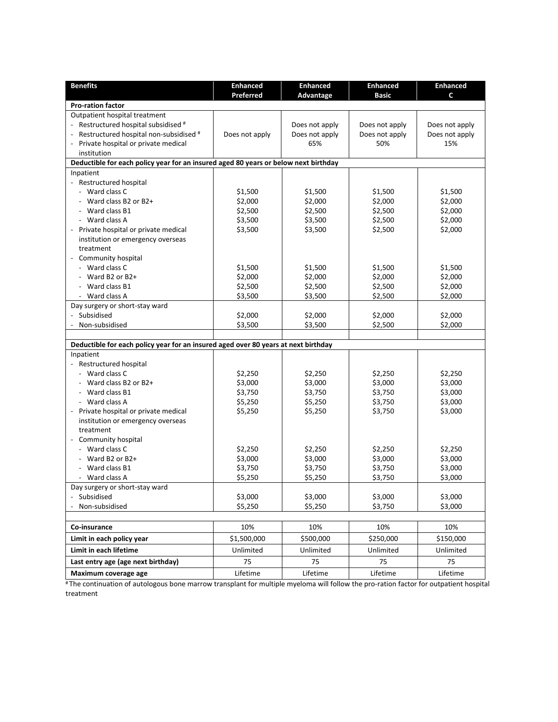| <b>Benefits</b>                                                                     | <b>Enhanced</b><br>Preferred | <b>Enhanced</b><br>Advantage | <b>Enhanced</b><br><b>Basic</b> | <b>Enhanced</b><br>C |
|-------------------------------------------------------------------------------------|------------------------------|------------------------------|---------------------------------|----------------------|
| <b>Pro-ration factor</b>                                                            |                              |                              |                                 |                      |
| Outpatient hospital treatment                                                       |                              |                              |                                 |                      |
| Restructured hospital subsidised #                                                  |                              | Does not apply               | Does not apply                  | Does not apply       |
| Restructured hospital non-subsidised #                                              | Does not apply               | Does not apply               | Does not apply                  | Does not apply       |
| - Private hospital or private medical                                               |                              | 65%                          | 50%                             | 15%                  |
| institution                                                                         |                              |                              |                                 |                      |
| Deductible for each policy year for an insured aged 80 years or below next birthday |                              |                              |                                 |                      |
| Inpatient                                                                           |                              |                              |                                 |                      |
| - Restructured hospital                                                             |                              |                              |                                 |                      |
| - Ward class C                                                                      | \$1,500                      | \$1,500                      | \$1,500                         | \$1,500              |
| Ward class B2 or B2+                                                                | \$2,000                      | \$2,000                      | \$2,000                         | \$2,000              |
| Ward class B1                                                                       | \$2,500                      | \$2,500                      | \$2,500                         | \$2,000              |
| - Ward class A                                                                      | \$3,500                      | \$3,500                      | \$2,500                         | \$2,000              |
| Private hospital or private medical                                                 | \$3,500                      | \$3,500                      | \$2,500                         | \$2,000              |
| institution or emergency overseas                                                   |                              |                              |                                 |                      |
| treatment                                                                           |                              |                              |                                 |                      |
| Community hospital                                                                  |                              |                              |                                 |                      |
| - Ward class C                                                                      | \$1,500                      | \$1,500                      | \$1,500                         | \$1,500              |
| Ward B2 or B2+                                                                      | \$2,000                      | \$2,000                      | \$2,000                         | \$2,000              |
| Ward class B1                                                                       | \$2,500                      | \$2,500                      | \$2,500                         | \$2,000              |
| - Ward class A                                                                      | \$3,500                      | \$3,500                      | \$2,500                         | \$2,000              |
| Day surgery or short-stay ward                                                      |                              |                              |                                 |                      |
| - Subsidised                                                                        | \$2,000                      | \$2,000                      | \$2,000                         | \$2,000              |
| Non-subsidised                                                                      | \$3,500                      | \$3,500                      | \$2,500                         | \$2,000              |
|                                                                                     |                              |                              |                                 |                      |
| Deductible for each policy year for an insured aged over 80 years at next birthday  |                              |                              |                                 |                      |
| Inpatient                                                                           |                              |                              |                                 |                      |
| - Restructured hospital                                                             |                              |                              |                                 |                      |
| - Ward class C                                                                      | \$2,250                      | \$2,250                      | \$2,250                         | \$2,250              |
| Ward class B2 or B2+                                                                | \$3,000                      | \$3,000                      | \$3,000                         | \$3,000              |
| Ward class B1                                                                       | \$3,750                      | \$3,750                      | \$3,750                         | \$3,000              |
| - Ward class A                                                                      | \$5,250                      | \$5,250                      | \$3,750                         | \$3,000              |
| Private hospital or private medical                                                 | \$5,250                      | \$5,250                      | \$3,750                         | \$3,000              |
| institution or emergency overseas                                                   |                              |                              |                                 |                      |
| treatment                                                                           |                              |                              |                                 |                      |
| Community hospital                                                                  |                              |                              |                                 |                      |
| - Ward class C                                                                      | \$2,250                      | \$2,250                      | \$2,250                         | \$2,250              |
| Ward B2 or B2+                                                                      | \$3,000                      | \$3,000                      | \$3,000                         | \$3,000              |
| Ward class B1                                                                       | \$3,750                      | \$3,750                      | \$3,750                         | \$3,000              |
| - Ward class A                                                                      | \$5,250                      | \$5,250                      | \$3,750                         | \$3,000              |
| Day surgery or short-stay ward                                                      |                              |                              |                                 |                      |
| - Subsidised                                                                        | \$3,000                      | \$3,000                      | \$3,000                         | \$3,000              |
| Non-subsidised                                                                      | \$5,250                      | \$5,250                      | \$3,750                         | \$3,000              |
|                                                                                     |                              |                              |                                 |                      |
| Co-insurance                                                                        | 10%                          | 10%                          | 10%                             | 10%                  |
| Limit in each policy year                                                           | \$1,500,000                  | \$500,000                    | \$250,000                       | \$150,000            |
| Limit in each lifetime                                                              | Unlimited                    | Unlimited                    | Unlimited                       | Unlimited            |
| Last entry age (age next birthday)                                                  | 75                           | 75                           | 75                              | 75                   |
| Maximum coverage age                                                                | Lifetime                     | Lifetime                     | Lifetime                        | Lifetime             |

# The continuation of autologous bone marrow transplant for multiple myeloma will follow the pro-ration factor for outpatient hospital treatment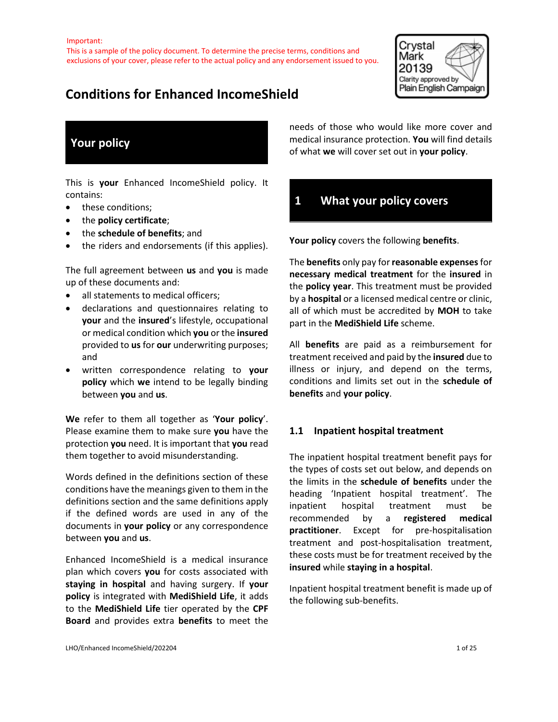

# **Conditions for Enhanced IncomeShield**

# **Your policy**

This is **your** Enhanced IncomeShield policy. It contains:

- these conditions;
- the **policy certificate**;
- the **schedule of benefits**; and
- the riders and endorsements (if this applies).

The full agreement between **us** and **you** is made up of these documents and:

- all statements to medical officers;
- declarations and questionnaires relating to **your** and the **insured**'s lifestyle, occupational or medical condition which **you** or the **insured** provided to **us** for **our** underwriting purposes; and
- written correspondence relating to **your policy** which **we** intend to be legally binding between **you** and **us**.

**We** refer to them all together as '**Your policy**'. Please examine them to make sure **you** have the protection **you** need. It is important that **you** read them together to avoid misunderstanding.

Words defined in the definitions section of these conditions have the meanings given to them in the definitions section and the same definitions apply if the defined words are used in any of the documents in **your policy** or any correspondence between **you** and **us**.

Enhanced IncomeShield is a medical insurance plan which covers **you** for costs associated with **staying in hospital** and having surgery. If **your policy** is integrated with **MediShield Life**, it adds to the **MediShield Life** tier operated by the **CPF Board** and provides extra **benefits** to meet the

needs of those who would like more cover and medical insurance protection. **You** will find details of what **we** will cover set out in **your policy**.

# **1 What your policy covers**

**Your policy** covers the following **benefits**.

The **benefits** only pay for **reasonable expenses**for **necessary medical treatment** for the **insured** in the **policy year**. This treatment must be provided by a **hospital** or a licensed medical centre or clinic, all of which must be accredited by **MOH** to take part in the **MediShield Life** scheme.

All **benefits** are paid as a reimbursement for treatment received and paid by the **insured** due to illness or injury, and depend on the terms, conditions and limits set out in the **schedule of benefits** and **your policy**.

# **1.1 Inpatient hospital treatment**

The inpatient hospital treatment benefit pays for the types of costs set out below, and depends on the limits in the **schedule of benefits** under the heading 'Inpatient hospital treatment'. The inpatient hospital treatment must be recommended by a **registered medical practitioner**. Except for pre-hospitalisation treatment and post-hospitalisation treatment, these costs must be for treatment received by the **insured** while **staying in a hospital**.

Inpatient hospital treatment benefit is made up of the following sub-benefits.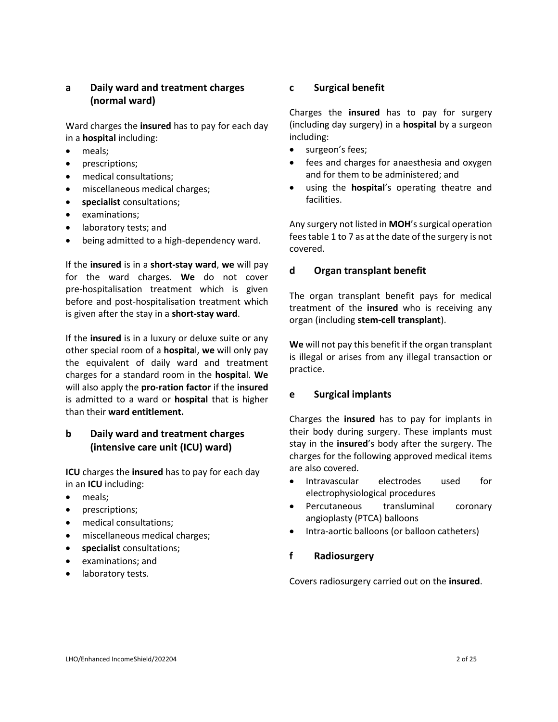# **a Daily ward and treatment charges (normal ward)**

Ward charges the **insured** has to pay for each day in a **hospital** including:

- meals;
- prescriptions;
- medical consultations;
- miscellaneous medical charges;
- **specialist** consultations;
- examinations;
- laboratory tests; and
- being admitted to a high-dependency ward.

If the **insured** is in a **short-stay ward**, **we** will pay for the ward charges. **We** do not cover pre-hospitalisation treatment which is given before and post-hospitalisation treatment which is given after the stay in a **short-stay ward**.

If the **insured** is in a luxury or deluxe suite or any other special room of a **hospita**l, **we** will only pay the equivalent of daily ward and treatment charges for a standard room in the **hospita**l. **We** will also apply the **pro-ration factor** if the **insured** is admitted to a ward or **hospital** that is higher than their **ward entitlement.**

# **b Daily ward and treatment charges (intensive care unit (ICU) ward)**

**ICU** charges the **insured** has to pay for each day in an **ICU** including:

- meals;
- prescriptions;
- medical consultations;
- miscellaneous medical charges;
- **specialist** consultations;
- examinations; and
- laboratory tests.

## **c Surgical benefit**

Charges the **insured** has to pay for surgery (including day surgery) in a **hospital** by a surgeon including:

- surgeon's fees;
- fees and charges for anaesthesia and oxygen and for them to be administered; and
- using the **hospital**'s operating theatre and facilities.

Any surgery not listed in **MOH**'s surgical operation fees table 1 to 7 as at the date of the surgery is not covered.

# **d Organ transplant benefit**

The organ transplant benefit pays for medical treatment of the **insured** who is receiving any organ (including **stem-cell transplant**).

**We** will not pay this benefit if the organ transplant is illegal or arises from any illegal transaction or practice.

# **e Surgical implants**

Charges the **insured** has to pay for implants in their body during surgery. These implants must stay in the **insured**'s body after the surgery. The charges for the following approved medical items are also covered.

- Intravascular electrodes used for electrophysiological procedures
- Percutaneous transluminal coronary angioplasty (PTCA) balloons
- Intra-aortic balloons (or balloon catheters)

# **f Radiosurgery**

Covers radiosurgery carried out on the **insured**.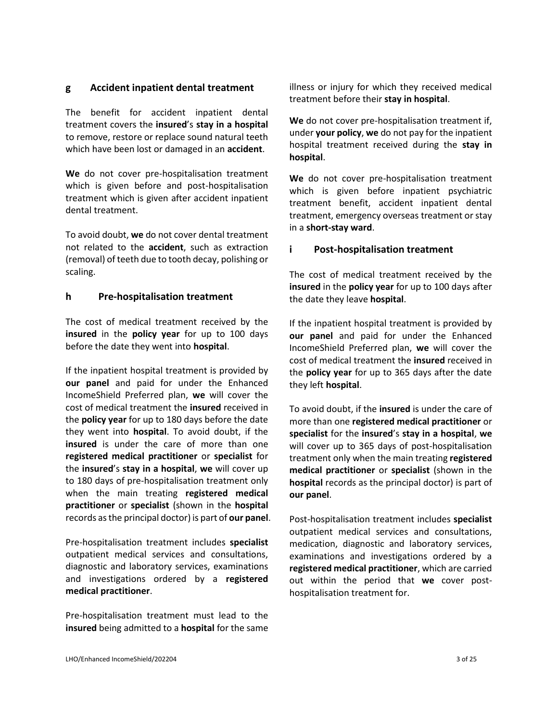#### **g Accident inpatient dental treatment**

The benefit for accident inpatient dental treatment covers the **insured**'s **stay in a hospital** to remove, restore or replace sound natural teeth which have been lost or damaged in an **accident**.

**We** do not cover pre-hospitalisation treatment which is given before and post-hospitalisation treatment which is given after accident inpatient dental treatment.

To avoid doubt, **we** do not cover dental treatment not related to the **accident**, such as extraction (removal) of teeth due to tooth decay, polishing or scaling.

#### **h Pre-hospitalisation treatment**

The cost of medical treatment received by the **insured** in the **policy year** for up to 100 days before the date they went into **hospital**.

If the inpatient hospital treatment is provided by **our panel** and paid for under the Enhanced IncomeShield Preferred plan, **we** will cover the cost of medical treatment the **insured** received in the **policy year** for up to 180 days before the date they went into **hospital**. To avoid doubt, if the **insured** is under the care of more than one **registered medical practitioner** or **specialist** for the **insured**'s **stay in a hospital**, **we** will cover up to 180 days of pre-hospitalisation treatment only when the main treating **registered medical practitioner** or **specialist** (shown in the **hospital** records as the principal doctor) is part of **our panel**.

Pre-hospitalisation treatment includes **specialist**  outpatient medical services and consultations, diagnostic and laboratory services, examinations and investigations ordered by a **registered medical practitioner**.

Pre-hospitalisation treatment must lead to the **insured** being admitted to a **hospital** for the same illness or injury for which they received medical treatment before their **stay in hospital**.

**We** do not cover pre-hospitalisation treatment if, under **your policy**, **we** do not pay for the inpatient hospital treatment received during the **stay in hospital**.

**We** do not cover pre-hospitalisation treatment which is given before inpatient psychiatric treatment benefit, accident inpatient dental treatment, emergency overseas treatment or stay in a **short-stay ward**.

## **i Post-hospitalisation treatment**

The cost of medical treatment received by the **insured** in the **policy year** for up to 100 days after the date they leave **hospital**.

If the inpatient hospital treatment is provided by **our panel** and paid for under the Enhanced IncomeShield Preferred plan, **we** will cover the cost of medical treatment the **insured** received in the **policy year** for up to 365 days after the date they left **hospital**.

To avoid doubt, if the **insured** is under the care of more than one **registered medical practitioner** or **specialist** for the **insured**'s **stay in a hospital**, **we** will cover up to 365 days of post-hospitalisation treatment only when the main treating **registered medical practitioner** or **specialist** (shown in the **hospital** records as the principal doctor) is part of **our panel**.

Post-hospitalisation treatment includes **specialist** outpatient medical services and consultations, medication, diagnostic and laboratory services, examinations and investigations ordered by a **registered medical practitioner**, which are carried out within the period that **we** cover posthospitalisation treatment for.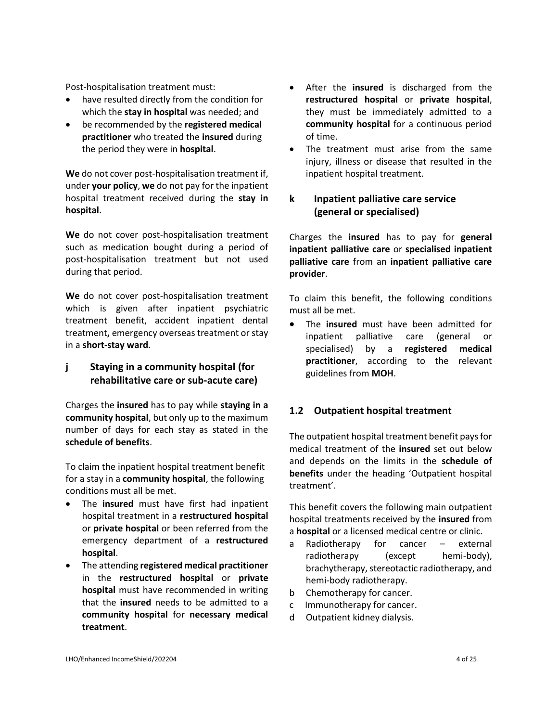Post-hospitalisation treatment must:

- have resulted directly from the condition for which the **stay in hospital** was needed; and
- be recommended by the **registered medical practitioner** who treated the **insured** during the period they were in **hospital**.

**We** do not cover post-hospitalisation treatment if, under **your policy**, **we** do not pay for the inpatient hospital treatment received during the **stay in hospital**.

**We** do not cover post-hospitalisation treatment such as medication bought during a period of post-hospitalisation treatment but not used during that period.

**We** do not cover post-hospitalisation treatment which is given after inpatient psychiatric treatment benefit, accident inpatient dental treatment**,** emergency overseas treatment or stay in a **short-stay ward**.

# **j Staying in a community hospital (for rehabilitative care or sub-acute care)**

Charges the **insured** has to pay while **staying in a community hospital**, but only up to the maximum number of days for each stay as stated in the **schedule of benefits**.

To claim the inpatient hospital treatment benefit for a stay in a **community hospital**, the following conditions must all be met.

- The **insured** must have first had inpatient hospital treatment in a **restructured hospital** or **private hospital** or been referred from the emergency department of a **restructured hospital**.
- The attending **registered medical practitioner** in the **restructured hospital** or **private hospital** must have recommended in writing that the **insured** needs to be admitted to a **community hospital** for **necessary medical treatment**.
- After the **insured** is discharged from the **restructured hospital** or **private hospital**, they must be immediately admitted to a **community hospital** for a continuous period of time.
- The treatment must arise from the same injury, illness or disease that resulted in the inpatient hospital treatment.

# **k Inpatient palliative care service (general or specialised)**

Charges the **insured** has to pay for **general inpatient palliative care** or **specialised inpatient palliative care** from an **inpatient palliative care provider**.

To claim this benefit, the following conditions must all be met.

• The **insured** must have been admitted for inpatient palliative care (general or specialised) by a **registered medical practitioner**, according to the relevant guidelines from **MOH**.

# **1.2 Outpatient hospital treatment**

The outpatient hospital treatment benefit pays for medical treatment of the **insured** set out below and depends on the limits in the **schedule of benefits** under the heading 'Outpatient hospital treatment'.

This benefit covers the following main outpatient hospital treatments received by the **insured** from a **hospital** or a licensed medical centre or clinic.

- a Radiotherapy for cancer external radiotherapy (except hemi-body), brachytherapy, stereotactic radiotherapy, and hemi-body radiotherapy.
- b Chemotherapy for cancer.
- c Immunotherapy for cancer.
- d Outpatient kidney dialysis.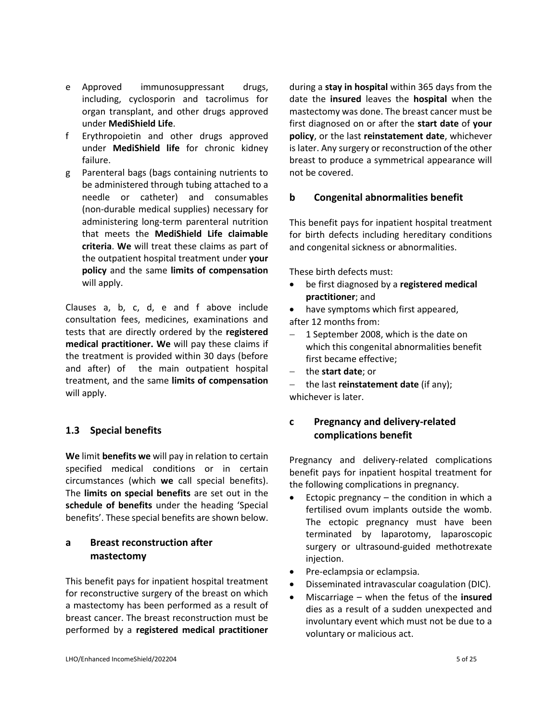- e Approved immunosuppressant drugs, including, cyclosporin and tacrolimus for organ transplant, and other drugs approved under **MediShield Life**.
- f Erythropoietin and other drugs approved under **MediShield life** for chronic kidney failure.
- g Parenteral bags (bags containing nutrients to be administered through tubing attached to a needle or catheter) and consumables (non-durable medical supplies) necessary for administering long-term parenteral nutrition that meets the **MediShield Life claimable criteria**. **We** will treat these claims as part of the outpatient hospital treatment under **your policy** and the same **limits of compensation**  will apply.

Clauses a, b, c, d, e and f above include consultation fees, medicines, examinations and tests that are directly ordered by the **registered medical practitioner. We** will pay these claims if the treatment is provided within 30 days (before and after) of the main outpatient hospital treatment, and the same **limits of compensation**  will apply.

#### **1.3 Special benefits**

**We** limit **benefits we** will pay in relation to certain specified medical conditions or in certain circumstances (which **we** call special benefits). The **limits on special benefits** are set out in the **schedule of benefits** under the heading 'Special benefits'. These special benefits are shown below.

# **a Breast reconstruction after mastectomy**

This benefit pays for inpatient hospital treatment for reconstructive surgery of the breast on which a mastectomy has been performed as a result of breast cancer. The breast reconstruction must be performed by a **registered medical practitioner** during a **stay in hospital** within 365 days from the date the **insured** leaves the **hospital** when the mastectomy was done. The breast cancer must be first diagnosed on or after the **start date** of **your policy**, or the last **reinstatement date**, whichever is later. Any surgery or reconstruction of the other breast to produce a symmetrical appearance will not be covered.

#### **b Congenital abnormalities benefit**

This benefit pays for inpatient hospital treatment for birth defects including hereditary conditions and congenital sickness or abnormalities.

These birth defects must:

- be first diagnosed by a **registered medical practitioner**; and
- have symptoms which first appeared, after 12 months from:
- − 1 September 2008, which is the date on which this congenital abnormalities benefit first became effective;
- − the **start date**; or
- − the last **reinstatement date** (if any); whichever is later.

# **c Pregnancy and delivery-related complications benefit**

Pregnancy and delivery-related complications benefit pays for inpatient hospital treatment for the following complications in pregnancy.

- Ectopic pregnancy the condition in which a fertilised ovum implants outside the womb. The ectopic pregnancy must have been terminated by laparotomy, laparoscopic surgery or ultrasound-guided methotrexate injection.
- Pre-eclampsia or eclampsia.
- Disseminated intravascular coagulation (DIC).
- Miscarriage when the fetus of the **insured** dies as a result of a sudden unexpected and involuntary event which must not be due to a voluntary or malicious act.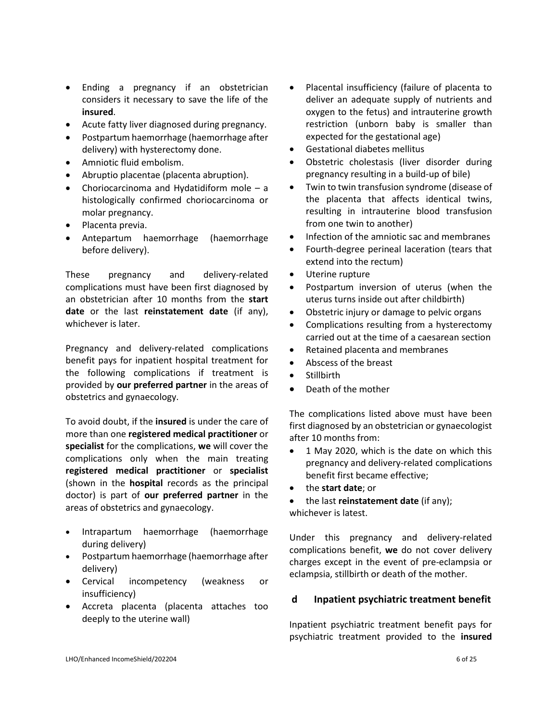- Ending a pregnancy if an obstetrician considers it necessary to save the life of the **insured**.
- Acute fatty liver diagnosed during pregnancy.
- Postpartum haemorrhage (haemorrhage after delivery) with hysterectomy done.
- Amniotic fluid embolism.
- Abruptio placentae (placenta abruption).
- Choriocarcinoma and Hydatidiform mole a histologically confirmed choriocarcinoma or molar pregnancy.
- Placenta previa.
- Antepartum haemorrhage (haemorrhage before delivery).

These pregnancy and delivery-related complications must have been first diagnosed by an obstetrician after 10 months from the **start date** or the last **reinstatement date** (if any), whichever is later.

Pregnancy and delivery-related complications benefit pays for inpatient hospital treatment for the following complications if treatment is provided by **our preferred partner** in the areas of obstetrics and gynaecology.

To avoid doubt, if the **insured** is under the care of more than one **registered medical practitioner** or **specialist** for the complications, **we** will cover the complications only when the main treating **registered medical practitioner** or **specialist** (shown in the **hospital** records as the principal doctor) is part of **our preferred partner** in the areas of obstetrics and gynaecology.

- Intrapartum haemorrhage (haemorrhage during delivery)
- Postpartum haemorrhage (haemorrhage after delivery)
- Cervical incompetency (weakness or insufficiency)
- Accreta placenta (placenta attaches too deeply to the uterine wall)
- Placental insufficiency (failure of placenta to deliver an adequate supply of nutrients and oxygen to the fetus) and intrauterine growth restriction (unborn baby is smaller than expected for the gestational age)
- Gestational diabetes mellitus
- Obstetric cholestasis (liver disorder during pregnancy resulting in a build-up of bile)
- Twin to twin transfusion syndrome (disease of the placenta that affects identical twins, resulting in intrauterine blood transfusion from one twin to another)
- Infection of the amniotic sac and membranes
- Fourth-degree perineal laceration (tears that extend into the rectum)
- Uterine rupture
- Postpartum inversion of uterus (when the uterus turns inside out after childbirth)
- Obstetric injury or damage to pelvic organs
- Complications resulting from a hysterectomy carried out at the time of a caesarean section
- Retained placenta and membranes
- Abscess of the breast
- **Stillbirth**
- Death of the mother

The complications listed above must have been first diagnosed by an obstetrician or gynaecologist after 10 months from:

- 1 May 2020, which is the date on which this pregnancy and delivery-related complications benefit first became effective;
- the **start date**; or
- the last **reinstatement date** (if any); whichever is latest.

Under this pregnancy and delivery-related complications benefit, **we** do not cover delivery charges except in the event of pre-eclampsia or eclampsia, stillbirth or death of the mother.

# **d Inpatient psychiatric treatment benefit**

Inpatient psychiatric treatment benefit pays for psychiatric treatment provided to the **insured**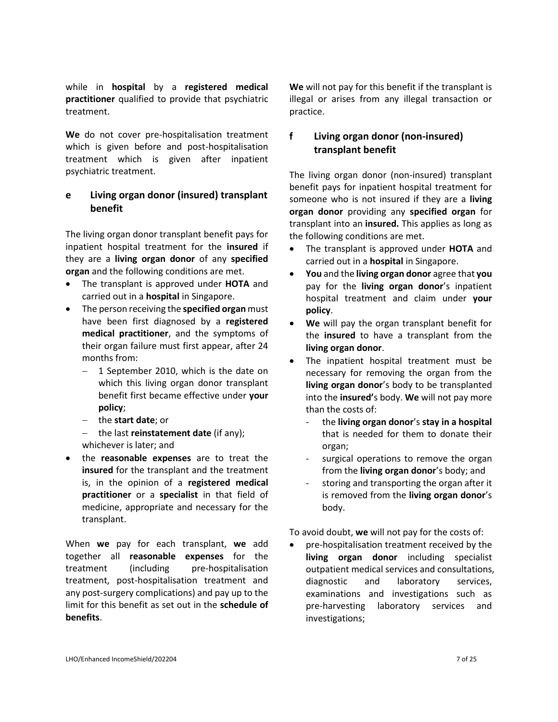while in **hospital** by a **registered medical practitioner** qualified to provide that psychiatric treatment.

**We** do not cover pre-hospitalisation treatment which is given before and post-hospitalisation treatment which is given after inpatient psychiatric treatment.

# **e Living organ donor (insured) transplant benefit**

The living organ donor transplant benefit pays for inpatient hospital treatment for the **insured** if they are a **living organ donor** of any **specified organ** and the following conditions are met.

- The transplant is approved under **HOTA** and carried out in a **hospital** in Singapore.
- The person receiving the **specified organ** must have been first diagnosed by a **registered medical practitioner**, and the symptoms of their organ failure must first appear, after 24 months from:
	- − 1 September 2010, which is the date on which this living organ donor transplant benefit first became effective under **your policy**;
	- − the **start date**; or
	- − the last **reinstatement date** (if any); whichever is later; and
- the **reasonable expenses** are to treat the **insured** for the transplant and the treatment is, in the opinion of a **registered medical practitioner** or a **specialist** in that field of medicine, appropriate and necessary for the transplant.

When **we** pay for each transplant, **we** add together all **reasonable expenses** for the treatment (including pre-hospitalisation treatment, post-hospitalisation treatment and any post-surgery complications) and pay up to the limit for this benefit as set out in the **schedule of benefits**.

**We** will not pay for this benefit if the transplant is illegal or arises from any illegal transaction or practice.

# **f Living organ donor (non-insured) transplant benefit**

The living organ donor (non-insured) transplant benefit pays for inpatient hospital treatment for someone who is not insured if they are a **living organ donor** providing any **specified organ** for transplant into an **insured.** This applies as long as the following conditions are met.

- The transplant is approved under **HOTA** and carried out in a **hospital** in Singapore.
- **You** and the **living organ donor** agree that **you** pay for the **living organ donor**'s inpatient hospital treatment and claim under **your policy**.
- **We** will pay the organ transplant benefit for the **insured** to have a transplant from the **living organ donor**.
- The inpatient hospital treatment must be necessary for removing the organ from the **living organ donor**'s body to be transplanted into the **insured'**s body. **We** will not pay more than the costs of:
	- the **living organ donor**'s **stay in a hospital**  that is needed for them to donate their organ;
	- surgical operations to remove the organ from the **living organ donor**'s body; and
	- storing and transporting the organ after it is removed from the **living organ donor**'s body.

To avoid doubt, **we** will not pay for the costs of:

• pre-hospitalisation treatment received by the **living organ donor** including specialist outpatient medical services and consultations, diagnostic and laboratory services, examinations and investigations such as pre-harvesting laboratory services and investigations;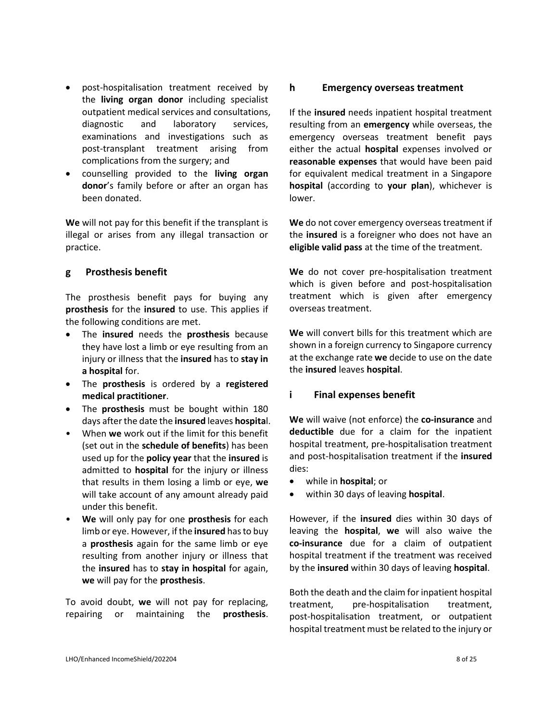- post-hospitalisation treatment received by the **living organ donor** including specialist outpatient medical services and consultations, diagnostic and laboratory services, examinations and investigations such as post-transplant treatment arising from complications from the surgery; and
- counselling provided to the **living organ donor**'s family before or after an organ has been donated.

**We** will not pay for this benefit if the transplant is illegal or arises from any illegal transaction or practice.

#### **g Prosthesis benefit**

The prosthesis benefit pays for buying any **prosthesis** for the **insured** to use. This applies if the following conditions are met.

- The **insured** needs the **prosthesis** because they have lost a limb or eye resulting from an injury or illness that the **insured** has to **stay in a hospital** for.
- The **prosthesis** is ordered by a **registered medical practitioner**.
- The **prosthesis** must be bought within 180 days after the date the **insured** leaves **hospita**l.
- When **we** work out if the limit for this benefit (set out in the **schedule of benefits**) has been used up for the **policy year** that the **insured** is admitted to **hospital** for the injury or illness that results in them losing a limb or eye, **we** will take account of any amount already paid under this benefit.
- **We** will only pay for one **prosthesis** for each limb or eye. However, if the **insured** has to buy a **prosthesis** again for the same limb or eye resulting from another injury or illness that the **insured** has to **stay in hospital** for again, **we** will pay for the **prosthesis**.

To avoid doubt, **we** will not pay for replacing, repairing or maintaining the **prosthesis**.

## **h Emergency overseas treatment**

If the **insured** needs inpatient hospital treatment resulting from an **emergency** while overseas, the emergency overseas treatment benefit pays either the actual **hospital** expenses involved or **reasonable expenses** that would have been paid for equivalent medical treatment in a Singapore **hospital** (according to **your plan**), whichever is lower.

**We** do not cover emergency overseas treatment if the **insured** is a foreigner who does not have an **eligible valid pass** at the time of the treatment.

**We** do not cover pre-hospitalisation treatment which is given before and post-hospitalisation treatment which is given after emergency overseas treatment.

**We** will convert bills for this treatment which are shown in a foreign currency to Singapore currency at the exchange rate **we** decide to use on the date the **insured** leaves **hospital**.

# **i Final expenses benefit**

**We** will waive (not enforce) the **co-insurance** and **deductible** due for a claim for the inpatient hospital treatment, pre-hospitalisation treatment and post-hospitalisation treatment if the **insured** dies:

- while in **hospital**; or
- within 30 days of leaving **hospital**.

However, if the **insured** dies within 30 days of leaving the **hospital**, **we** will also waive the **co-insurance** due for a claim of outpatient hospital treatment if the treatment was received by the **insured** within 30 days of leaving **hospital**.

Both the death and the claim for inpatient hospital treatment, pre-hospitalisation treatment, post-hospitalisation treatment, or outpatient hospital treatment must be related to the injury or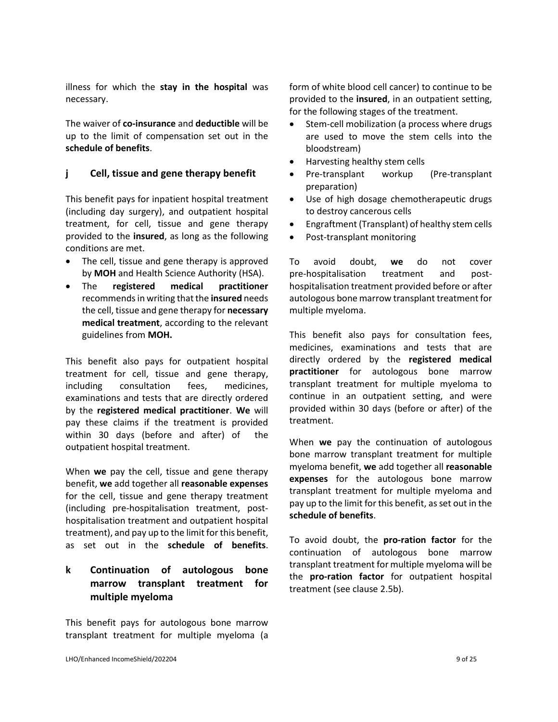illness for which the **stay in the hospital** was necessary.

The waiver of **co-insurance** and **deductible** will be up to the limit of compensation set out in the **schedule of benefits**.

## **j Cell, tissue and gene therapy benefit**

This benefit pays for inpatient hospital treatment (including day surgery), and outpatient hospital treatment, for cell, tissue and gene therapy provided to the **insured**, as long as the following conditions are met.

- The cell, tissue and gene therapy is approved by **MOH** and Health Science Authority (HSA).
- The **registered medical practitioner**  recommendsin writing that the **insured** needs the cell, tissue and gene therapy for **necessary medical treatment**, according to the relevant guidelines from **MOH.**

This benefit also pays for outpatient hospital treatment for cell, tissue and gene therapy, including consultation fees, medicines, examinations and tests that are directly ordered by the **registered medical practitioner**. **We** will pay these claims if the treatment is provided within 30 days (before and after) of the outpatient hospital treatment.

When **we** pay the cell, tissue and gene therapy benefit, **we** add together all **reasonable expenses** for the cell, tissue and gene therapy treatment (including pre-hospitalisation treatment, posthospitalisation treatment and outpatient hospital treatment), and pay up to the limit for this benefit, as set out in the **schedule of benefits**.

# **k Continuation of autologous bone marrow transplant treatment for multiple myeloma**

This benefit pays for autologous bone marrow transplant treatment for multiple myeloma (a

form of white blood cell cancer) to continue to be provided to the **insured**, in an outpatient setting, for the following stages of the treatment.

- Stem-cell mobilization (a process where drugs are used to move the stem cells into the bloodstream)
- Harvesting healthy stem cells
- Pre-transplant workup (Pre-transplant preparation)
- Use of high dosage chemotherapeutic drugs to destroy cancerous cells
- Engraftment (Transplant) of healthy stem cells
- Post-transplant monitoring

To avoid doubt, **we** do not cover pre-hospitalisation treatment and posthospitalisation treatment provided before or after autologous bone marrow transplant treatment for multiple myeloma.

This benefit also pays for consultation fees, medicines, examinations and tests that are directly ordered by the **registered medical practitioner** for autologous bone marrow transplant treatment for multiple myeloma to continue in an outpatient setting, and were provided within 30 days (before or after) of the treatment.

When **we** pay the continuation of autologous bone marrow transplant treatment for multiple myeloma benefit, **we** add together all **reasonable expenses** for the autologous bone marrow transplant treatment for multiple myeloma and pay up to the limit for this benefit, as set out in the **schedule of benefits**.

To avoid doubt, the **pro-ration factor** for the continuation of autologous bone marrow transplant treatment for multiple myeloma will be the **pro-ration factor** for outpatient hospital treatment (see clause 2.5b).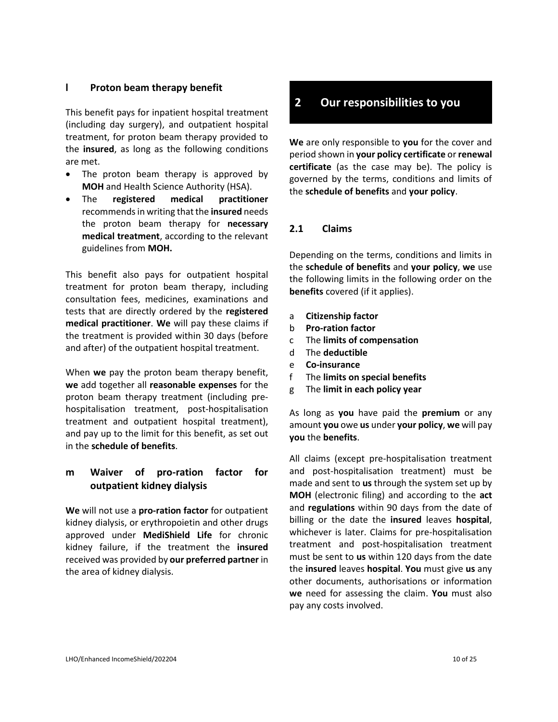## **l Proton beam therapy benefit**

This benefit pays for inpatient hospital treatment (including day surgery), and outpatient hospital treatment, for proton beam therapy provided to the **insured**, as long as the following conditions are met.

- The proton beam therapy is approved by **MOH** and Health Science Authority (HSA).
- The **registered medical practitioner**  recommendsin writing that the **insured** needs the proton beam therapy for **necessary medical treatment**, according to the relevant guidelines from **MOH.**

This benefit also pays for outpatient hospital treatment for proton beam therapy, including consultation fees, medicines, examinations and tests that are directly ordered by the **registered medical practitioner**. **We** will pay these claims if the treatment is provided within 30 days (before and after) of the outpatient hospital treatment.

When **we** pay the proton beam therapy benefit, **we** add together all **reasonable expenses** for the proton beam therapy treatment (including prehospitalisation treatment, post-hospitalisation treatment and outpatient hospital treatment), and pay up to the limit for this benefit, as set out in the **schedule of benefits**.

# **m Waiver of pro-ration factor for outpatient kidney dialysis**

**We** will not use a **pro-ration factor** for outpatient kidney dialysis, or erythropoietin and other drugs approved under **MediShield Life** for chronic kidney failure, if the treatment the **insured** received was provided by **our preferred partner** in the area of kidney dialysis.

# **2 Our responsibilities to you**

**We** are only responsible to **you** for the cover and period shown in **your policy certificate** or **renewal certificate** (as the case may be). The policy is governed by the terms, conditions and limits of the **schedule of benefits** and **your policy**.

#### **2.1 Claims**

Depending on the terms, conditions and limits in the **schedule of benefits** and **your policy**, **we** use the following limits in the following order on the **benefits** covered (if it applies).

- a **Citizenship factor**
- b **Pro-ration factor**
- c The **limits of compensation**
- d The **deductible**
- e **Co-insurance**
- f The **limits on special benefits**
- g The **limit in each policy year**

As long as **you** have paid the **premium** or any amount **you** owe **us** under **your policy**, **we** will pay **you** the **benefits**.

All claims (except pre-hospitalisation treatment and post-hospitalisation treatment) must be made and sent to **us** through the system set up by **MOH** (electronic filing) and according to the **act** and **regulations** within 90 days from the date of billing or the date the **insured** leaves **hospital**, whichever is later. Claims for pre-hospitalisation treatment and post-hospitalisation treatment must be sent to **us** within 120 days from the date the **insured** leaves **hospital**. **You** must give **us** any other documents, authorisations or information **we** need for assessing the claim. **You** must also pay any costs involved.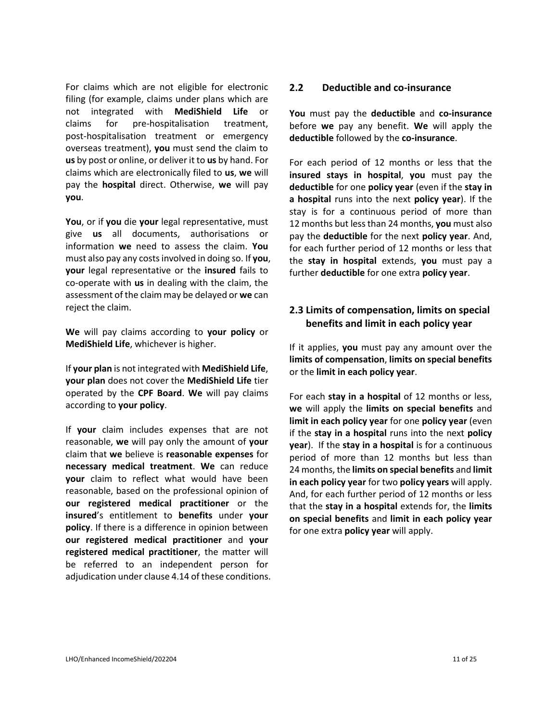For claims which are not eligible for electronic filing (for example, claims under plans which are not integrated with **MediShield Life** or claims for pre-hospitalisation treatment, post-hospitalisation treatment or emergency overseas treatment), **you** must send the claim to **us** by post or online, or deliver it to **us** by hand. For claims which are electronically filed to **us**, **we** will pay the **hospital** direct. Otherwise, **we** will pay **you**.

**You**, or if **you** die **your** legal representative, must give **us** all documents, authorisations or information **we** need to assess the claim. **You** must also pay any costs involved in doing so. If **you**, **your** legal representative or the **insured** fails to co-operate with **us** in dealing with the claim, the assessment of the claim may be delayed or **we** can reject the claim.

**We** will pay claims according to **your policy** or **MediShield Life**, whichever is higher.

If **your plan** is not integrated with **MediShield Life**, **your plan** does not cover the **MediShield Life** tier operated by the **CPF Board**. **We** will pay claims according to **your policy**.

If **your** claim includes expenses that are not reasonable, **we** will pay only the amount of **your** claim that **we** believe is **reasonable expenses** for **necessary medical treatment**. **We** can reduce **your** claim to reflect what would have been reasonable, based on the professional opinion of **our registered medical practitioner** or the **insured**'s entitlement to **benefits** under **your policy**. If there is a difference in opinion between **our registered medical practitioner** and **your registered medical practitioner**, the matter will be referred to an independent person for adjudication under clause 4.14 of these conditions.

#### **2.2 Deductible and co-insurance**

**You** must pay the **deductible** and **co-insurance** before **we** pay any benefit. **We** will apply the **deductible** followed by the **co-insurance**.

For each period of 12 months or less that the **insured stays in hospital**, **you** must pay the **deductible** for one **policy year** (even if the **stay in a hospital** runs into the next **policy year**). If the stay is for a continuous period of more than 12 months but less than 24 months, **you** must also pay the **deductible** for the next **policy year**. And, for each further period of 12 months or less that the **stay in hospital** extends, **you** must pay a further **deductible** for one extra **policy year**.

# **2.3 Limits of compensation, limits on special benefits and limit in each policy year**

If it applies, **you** must pay any amount over the **limits of compensation**, **limits on special benefits**  or the **limit in each policy year**.

For each **stay in a hospital** of 12 months or less, **we** will apply the **limits on special benefits** and **limit in each policy year** for one **policy year** (even if the **stay in a hospital** runs into the next **policy year**). If the **stay in a hospital** is for a continuous period of more than 12 months but less than 24 months, the **limits on special benefits** and **limit in each policy year** for two **policy years** will apply. And, for each further period of 12 months or less that the **stay in a hospital** extends for, the **limits on special benefits** and **limit in each policy year** for one extra **policy year** will apply.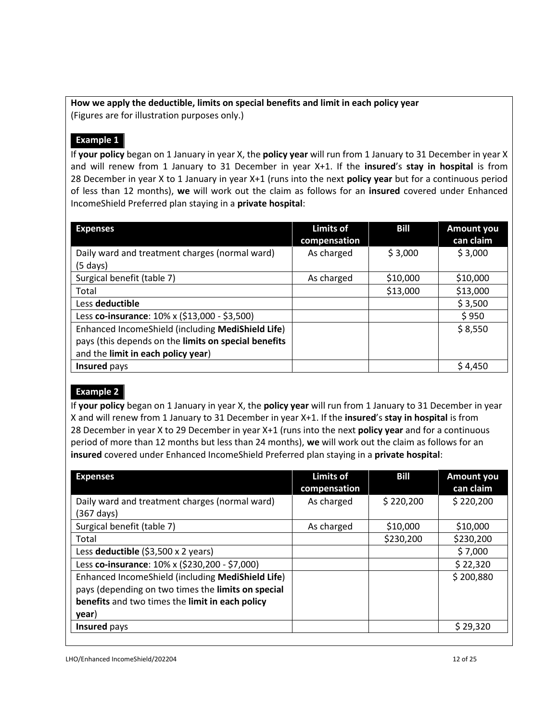# **How we apply the deductible, limits on special benefits and limit in each policy year**  (Figures are for illustration purposes only.)

# **Example 1**

If **your policy** began on 1 January in year X, the **policy year** will run from 1 January to 31 December in year X and will renew from 1 January to 31 December in year X+1. If the **insured**'s **stay in hospital** is from 28 December in year X to 1 January in year X+1 (runs into the next **policy year** but for a continuous period of less than 12 months), **we** will work out the claim as follows for an **insured** covered under Enhanced IncomeShield Preferred plan staying in a **private hospital**:

| <b>Expenses</b>                                      | <b>Limits of</b><br>compensation | <b>Bill</b> | <b>Amount you</b><br>can claim |
|------------------------------------------------------|----------------------------------|-------------|--------------------------------|
| Daily ward and treatment charges (normal ward)       | As charged                       | \$3,000     | \$3,000                        |
| $(5$ days)                                           |                                  |             |                                |
| Surgical benefit (table 7)                           | As charged                       | \$10,000    | \$10,000                       |
| Total                                                |                                  | \$13,000    | \$13,000                       |
| Less deductible                                      |                                  |             | \$3,500                        |
| Less co-insurance: 10% x (\$13,000 - \$3,500)        |                                  |             | \$950                          |
| Enhanced IncomeShield (including MediShield Life)    |                                  |             | \$8,550                        |
| pays (this depends on the limits on special benefits |                                  |             |                                |
| and the limit in each policy year)                   |                                  |             |                                |
| Insured pays                                         |                                  |             | \$4,450                        |

# **Example 2**

If **your policy** began on 1 January in year X, the **policy year** will run from 1 January to 31 December in year X and will renew from 1 January to 31 December in year X+1. If the **insured**'s **stay in hospital** is from 28 December in year X to 29 December in year X+1 (runs into the next **policy year** and for a continuous period of more than 12 months but less than 24 months), **we** will work out the claim as follows for an **insured** covered under Enhanced IncomeShield Preferred plan staying in a **private hospital**:

| <b>Expenses</b>                                    | <b>Limits of</b><br>compensation | <b>Bill</b> | Amount you<br>can claim |
|----------------------------------------------------|----------------------------------|-------------|-------------------------|
| Daily ward and treatment charges (normal ward)     | As charged                       | \$220,200   | \$220,200               |
| (367 days)                                         |                                  |             |                         |
| Surgical benefit (table 7)                         | As charged                       | \$10,000    | \$10,000                |
| Total                                              |                                  | \$230,200   | \$230,200               |
| Less deductible $(53,500 \times 2 \text{ years})$  |                                  |             | \$7,000                 |
| Less co-insurance: 10% x (\$230,200 - \$7,000)     |                                  |             | \$22,320                |
| Enhanced IncomeShield (including MediShield Life)  |                                  |             | \$200,880               |
| pays (depending on two times the limits on special |                                  |             |                         |
| benefits and two times the limit in each policy    |                                  |             |                         |
| year)                                              |                                  |             |                         |
| Insured pays                                       |                                  |             | \$29,320                |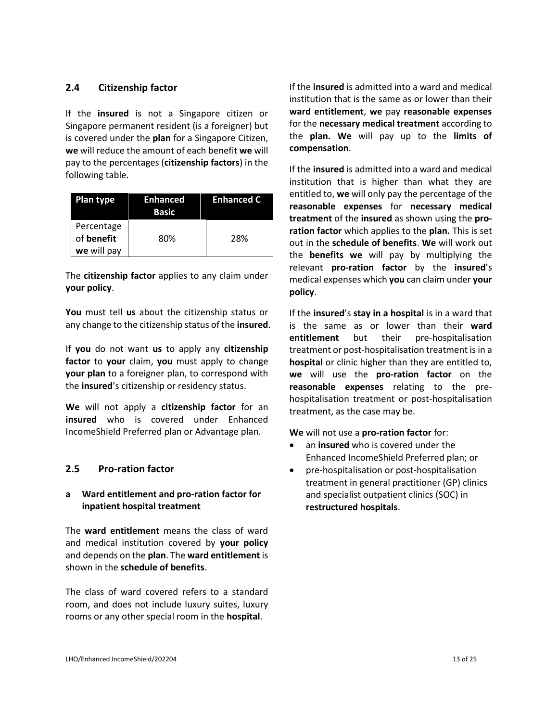## **2.4 Citizenship factor**

If the **insured** is not a Singapore citizen or Singapore permanent resident (is a foreigner) but is covered under the **plan** for a Singapore Citizen, **we** will reduce the amount of each benefit **we** will pay to the percentages (**citizenship factors**) in the following table.

| Plan type   | <b>Enhanced</b><br>Basic | <b>Enhanced C</b> |
|-------------|--------------------------|-------------------|
| Percentage  |                          |                   |
| of benefit  | 80%                      | 28%               |
| we will pay |                          |                   |

The **citizenship factor** applies to any claim under **your policy**.

**You** must tell **us** about the citizenship status or any change to the citizenship status of the **insured**.

If **you** do not want **us** to apply any **citizenship factor** to **your** claim, **you** must apply to change **your plan** to a foreigner plan, to correspond with the **insured**'s citizenship or residency status.

**We** will not apply a **citizenship factor** for an **insured** who is covered under Enhanced IncomeShield Preferred plan or Advantage plan.

#### **2.5 Pro-ration factor**

#### **a Ward entitlement and pro-ration factor for inpatient hospital treatment**

The **ward entitlement** means the class of ward and medical institution covered by **your policy** and depends on the **plan**. The **ward entitlement** is shown in the **schedule of benefits**.

The class of ward covered refers to a standard room, and does not include luxury suites, luxury rooms or any other special room in the **hospital**.

If the **insured** is admitted into a ward and medical institution that is the same as or lower than their **ward entitlement**, **we** pay **reasonable expenses** for the **necessary medical treatment** according to the **plan. We** will pay up to the **limits of compensation**.

If the **insured** is admitted into a ward and medical institution that is higher than what they are entitled to, **we** will only pay the percentage of the **reasonable expenses** for **necessary medical treatment** of the **insured** as shown using the **proration factor** which applies to the **plan.** This is set out in the **schedule of benefits**. **We** will work out the **benefits we** will pay by multiplying the relevant **pro-ration factor** by the **insured**'s medical expenses which **you** can claim under **your policy**.

If the **insured**'s **stay in a hospital** is in a ward that is the same as or lower than their **ward entitlement** but their pre-hospitalisation treatment or post-hospitalisation treatment is in a **hospital** or clinic higher than they are entitled to, **we** will use the **pro-ration factor** on the **reasonable expenses** relating to the prehospitalisation treatment or post-hospitalisation treatment, as the case may be.

**We** will not use a **pro-ration factor** for:

- an **insured** who is covered under the Enhanced IncomeShield Preferred plan; or
- pre-hospitalisation or post-hospitalisation treatment in general practitioner (GP) clinics and specialist outpatient clinics (SOC) in **restructured hospitals**.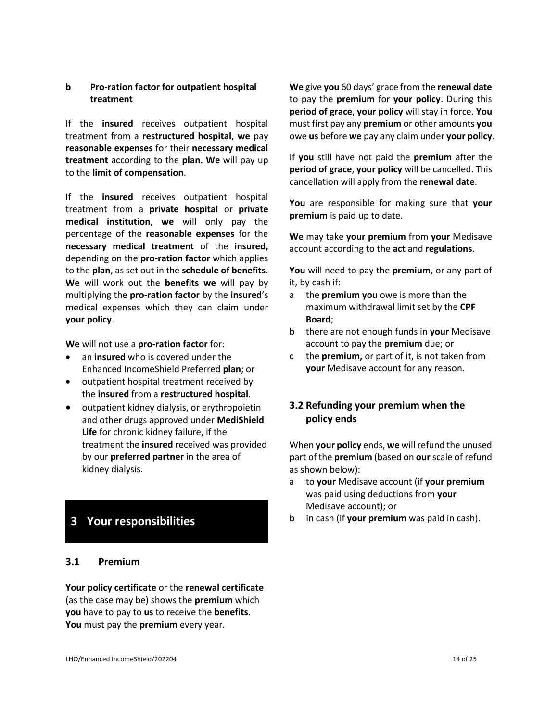#### **b Pro-ration factor for outpatient hospital treatment**

If the **insured** receives outpatient hospital treatment from a **restructured hospital**, **we** pay **reasonable expenses** for their **necessary medical treatment** according to the **plan. We** will pay up to the **limit of compensation**.

If the **insured** receives outpatient hospital treatment from a **private hospital** or **private medical institution**, **we** will only pay the percentage of the **reasonable expenses** for the **necessary medical treatment** of the **insured,**  depending on the **pro-ration factor** which applies to the **plan**, as set out in the **schedule of benefits**. **We** will work out the **benefits we** will pay by multiplying the **pro-ration factor** by the **insured**'s medical expenses which they can claim under **your policy**.

**We** will not use a **pro-ration factor** for:

- an **insured** who is covered under the Enhanced IncomeShield Preferred **plan**; or
- outpatient hospital treatment received by the **insured** from a **restructured hospital**.
- outpatient kidney dialysis, or erythropoietin and other drugs approved under **MediShield Life** for chronic kidney failure, if the treatment the **insured** received was provided by our **preferred partner** in the area of kidney dialysis.

# **3 Your responsibilities**

#### **3.1 Premium**

**Your policy certificate** or the **renewal certificate** (as the case may be) shows the **premium** which **you** have to pay to **us** to receive the **benefits**. **You** must pay the **premium** every year.

**We** give **you** 60 days' grace from the **renewal date** to pay the **premium** for **your policy**. During this **period of grace**, **your policy** will stay in force. **You** must first pay any **premium** or other amounts **you** owe **us** before **we** pay any claim under **your policy**.

If **you** still have not paid the **premium** after the **period of grace**, **your policy** will be cancelled. This cancellation will apply from the **renewal date**.

**You** are responsible for making sure that **your premium** is paid up to date.

**We** may take **your premium** from **your** Medisave account according to the **act** and **regulations**.

**You** will need to pay the **premium**, or any part of it, by cash if:

- a the **premium you** owe is more than the maximum withdrawal limit set by the **CPF Board**;
- b there are not enough funds in **your** Medisave account to pay the **premium** due; or
- c the **premium,** or part of it, is not taken from **your** Medisave account for any reason.

# **3.2 Refunding your premium when the policy ends**

When **your policy** ends, **we** will refund the unused part of the **premium** (based on **our** scale of refund as shown below):

- a to **your** Medisave account (if **your premium** was paid using deductions from **your** Medisave account); or
- b in cash (if **your premium** was paid in cash).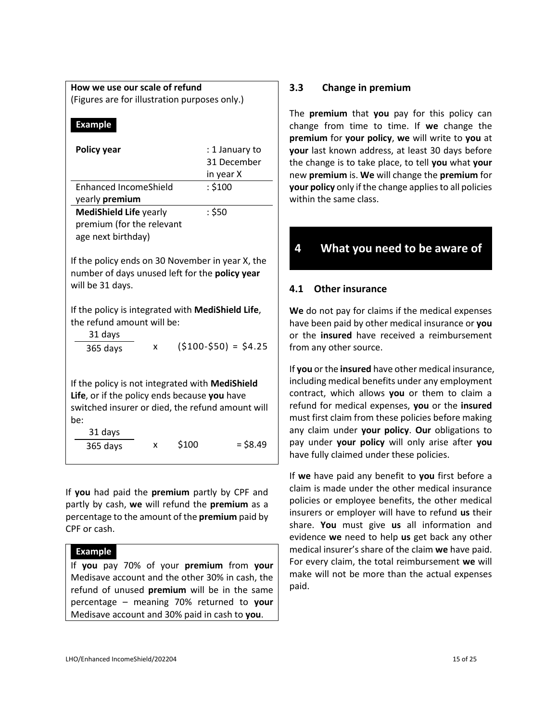# **How we use our scale of refund**

(Figures are for illustration purposes only.)

#### **Example**

| <b>Policy year</b>                                                                                                                                                                                                   |   |       | : 1 January to       |  |
|----------------------------------------------------------------------------------------------------------------------------------------------------------------------------------------------------------------------|---|-------|----------------------|--|
|                                                                                                                                                                                                                      |   |       | 31 December          |  |
|                                                                                                                                                                                                                      |   |       | in year X            |  |
| Enhanced IncomeShield                                                                                                                                                                                                |   |       | : \$100              |  |
| yearly premium                                                                                                                                                                                                       |   |       |                      |  |
| <b>MediShield Life yearly</b>                                                                                                                                                                                        |   |       | : \$50               |  |
| premium (for the relevant                                                                                                                                                                                            |   |       |                      |  |
| age next birthday)                                                                                                                                                                                                   |   |       |                      |  |
| If the policy ends on 30 November in year X, the<br>number of days unused left for the policy year<br>will be 31 days.<br>If the policy is integrated with MediShield Life,<br>the refund amount will be:<br>31 days |   |       |                      |  |
| 365 days                                                                                                                                                                                                             | x |       | $(5100-550) = 54.25$ |  |
| If the policy is not integrated with MediShield<br>Life, or if the policy ends because you have<br>switched insurer or died, the refund amount will<br>be:<br>31 days                                                |   |       |                      |  |
| 365 days                                                                                                                                                                                                             | x | \$100 | $=$ \$8.49           |  |

If **you** had paid the **premium** partly by CPF and partly by cash, **we** will refund the **premium** as a percentage to the amount of the **premium** paid by CPF or cash.

#### **Example**

If **you** pay 70% of your **premium** from **your** Medisave account and the other 30% in cash, the refund of unused **premium** will be in the same percentage – meaning 70% returned to **your** Medisave account and 30% paid in cash to **you**.

# **3.3 Change in premium**

The **premium** that **you** pay for this policy can change from time to time. If **we** change the **premium** for **your policy**, **we** will write to **you** at **your** last known address, at least 30 days before the change is to take place, to tell **you** what **your** new **premium** is. **We** will change the **premium** for **your policy** only if the change applies to all policies within the same class.

# **4 What you need to be aware of**

## **4.1 Other insurance**

**We** do not pay for claims if the medical expenses have been paid by other medical insurance or **you** or the **insured** have received a reimbursement from any other source.

If **you** or the **insured** have other medical insurance, including medical benefits under any employment contract, which allows **you** or them to claim a refund for medical expenses, **you** or the **insured** must first claim from these policies before making any claim under **your policy**. **Our** obligations to pay under **your policy** will only arise after **you** have fully claimed under these policies.

If **we** have paid any benefit to **you** first before a claim is made under the other medical insurance policies or employee benefits, the other medical insurers or employer will have to refund **us** their share. **You** must give **us** all information and evidence **we** need to help **us** get back any other medical insurer's share of the claim **we** have paid. For every claim, the total reimbursement **we** will make will not be more than the actual expenses paid.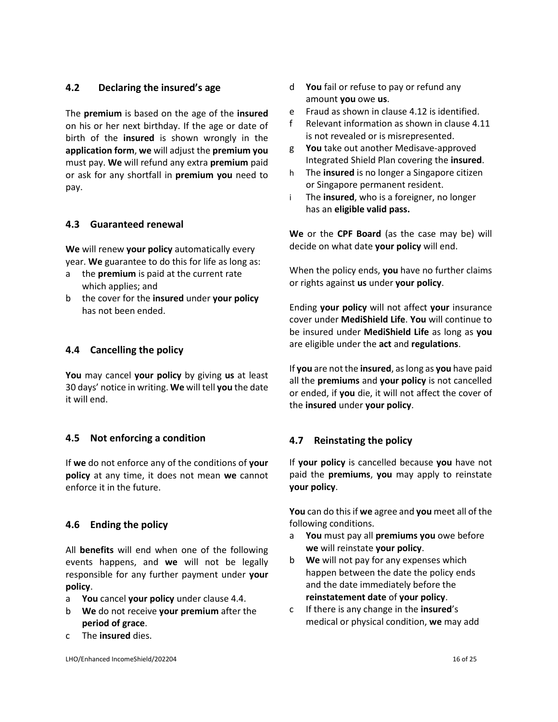## **4.2 Declaring the insured's age**

The **premium** is based on the age of the **insured** on his or her next birthday. If the age or date of birth of the **insured** is shown wrongly in the **application form**, **we** will adjust the **premium you** must pay. **We** will refund any extra **premium** paid or ask for any shortfall in **premium you** need to pay.

# **4.3 Guaranteed renewal**

**We** will renew **your policy** automatically every year. **We** guarantee to do this for life as long as:

- a the **premium** is paid at the current rate which applies; and
- b the cover for the **insured** under **your policy** has not been ended.

#### **4.4 Cancelling the policy**

**You** may cancel **your policy** by giving **us** at least 30 days' notice in writing. **We** will tell **you** the date it will end.

#### **4.5 Not enforcing a condition**

If **we** do not enforce any of the conditions of **your policy** at any time, it does not mean **we** cannot enforce it in the future.

#### **4.6 Ending the policy**

All **benefits** will end when one of the following events happens, and **we** will not be legally responsible for any further payment under **your policy**.

- a **You** cancel **your policy** under clause 4.4.
- b **We** do not receive **your premium** after the **period of grace**.
- c The **insured** dies.
- d **You** fail or refuse to pay or refund any amount **you** owe **us**.
- e Fraud as shown in clause 4.12 is identified.
- f Relevant information as shown in clause 4.11 is not revealed or is misrepresented.
- g **You** take out another Medisave-approved Integrated Shield Plan covering the **insured**.
- h The **insured** is no longer a Singapore citizen or Singapore permanent resident.
- i The **insured**, who is a foreigner, no longer has an **eligible valid pass.**

**We** or the **CPF Board** (as the case may be) will decide on what date **your policy** will end.

When the policy ends, **you** have no further claims or rights against **us** under **your policy**.

Ending **your policy** will not affect **your** insurance cover under **MediShield Life**. **You** will continue to be insured under **MediShield Life** as long as **you** are eligible under the **act** and **regulations**.

If **you** are not the **insured**, as long as **you** have paid all the **premiums** and **your policy** is not cancelled or ended, if **you** die, it will not affect the cover of the **insured** under **your policy**.

#### **4.7 Reinstating the policy**

If **your policy** is cancelled because **you** have not paid the **premiums**, **you** may apply to reinstate **your policy**.

**You** can do this if **we** agree and **you** meet all of the following conditions.

- a **You** must pay all **premiums you** owe before **we** will reinstate **your policy**.
- b **We** will not pay for any expenses which happen between the date the policy ends and the date immediately before the **reinstatement date** of **your policy**.
- c If there is any change in the **insured**'s medical or physical condition, **we** may add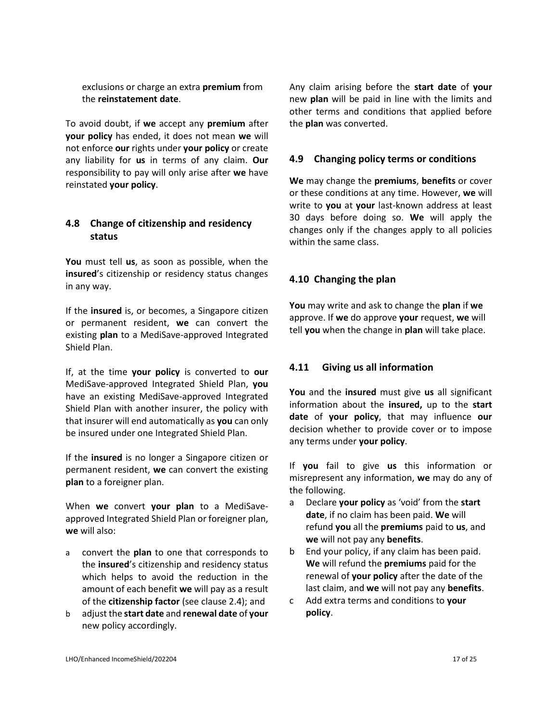exclusions or charge an extra **premium** from the **reinstatement date**.

To avoid doubt, if **we** accept any **premium** after **your policy** has ended, it does not mean **we** will not enforce **our** rights under **your policy** or create any liability for **us** in terms of any claim. **Our** responsibility to pay will only arise after **we** have reinstated **your policy**.

# **4.8 Change of citizenship and residency status**

**You** must tell **us**, as soon as possible, when the **insured**'s citizenship or residency status changes in any way.

If the **insured** is, or becomes, a Singapore citizen or permanent resident, **we** can convert the existing **plan** to a MediSave-approved Integrated Shield Plan.

If, at the time **your policy** is converted to **our** MediSave-approved Integrated Shield Plan, **you** have an existing MediSave-approved Integrated Shield Plan with another insurer, the policy with that insurer will end automatically as **you** can only be insured under one Integrated Shield Plan.

If the **insured** is no longer a Singapore citizen or permanent resident, **we** can convert the existing **plan** to a foreigner plan.

When **we** convert **your plan** to a MediSaveapproved Integrated Shield Plan or foreigner plan, **we** will also:

- a convert the **plan** to one that corresponds to the **insured**'s citizenship and residency status which helps to avoid the reduction in the amount of each benefit **we** will pay as a result of the **citizenship factor** (see clause 2.4); and
- b adjust the **start date** and **renewal date** of **your**  new policy accordingly.

Any claim arising before the **start date** of **your**  new **plan** will be paid in line with the limits and other terms and conditions that applied before the **plan** was converted.

## **4.9 Changing policy terms or conditions**

**We** may change the **premiums**, **benefits** or cover or these conditions at any time. However, **we** will write to **you** at **your** last-known address at least 30 days before doing so. **We** will apply the changes only if the changes apply to all policies within the same class.

# **4.10 Changing the plan**

**You** may write and ask to change the **plan** if **we** approve. If **we** do approve **your** request, **we** will tell **you** when the change in **plan** will take place.

# **4.11 Giving us all information**

**You** and the **insured** must give **us** all significant information about the **insured,** up to the **start date** of **your policy**, that may influence **our** decision whether to provide cover or to impose any terms under **your policy**.

If **you** fail to give **us** this information or misrepresent any information, **we** may do any of the following.

- a Declare **your policy** as 'void' from the **start date**, if no claim has been paid. **We** will refund **you** all the **premiums** paid to **us**, and **we** will not pay any **benefits**.
- b End your policy, if any claim has been paid. **We** will refund the **premiums** paid for the renewal of **your policy** after the date of the last claim, and **we** will not pay any **benefits**.
- c Add extra terms and conditions to **your policy**.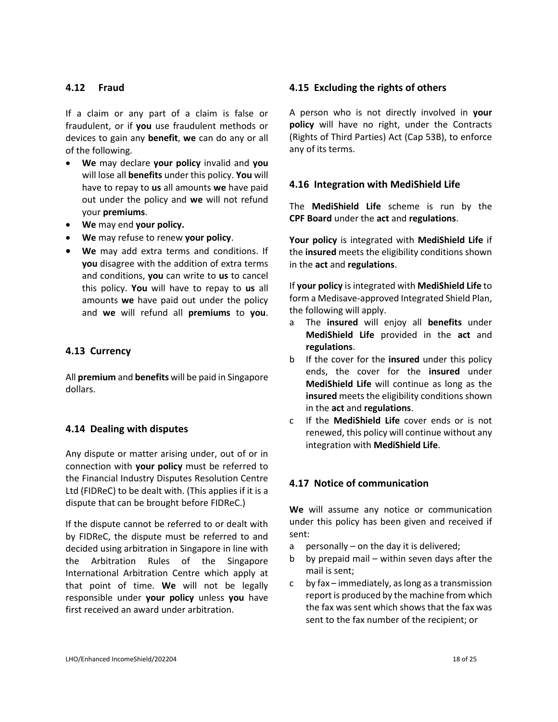#### **4.12 Fraud**

If a claim or any part of a claim is false or fraudulent, or if **you** use fraudulent methods or devices to gain any **benefit**, **we** can do any or all of the following.

- **We** may declare **your policy** invalid and **you** will lose all **benefits** under this policy. **You** will have to repay to **us** all amounts **we** have paid out under the policy and **we** will not refund your **premiums**.
- **We** may end **your policy.**
- **We** may refuse to renew **your policy**.
- **We** may add extra terms and conditions. If **you** disagree with the addition of extra terms and conditions, **you** can write to **us** to cancel this policy. **You** will have to repay to **us** all amounts **we** have paid out under the policy and **we** will refund all **premiums** to **you**.

#### **4.13 Currency**

All **premium** and **benefits** will be paid in Singapore dollars.

#### **4.14 Dealing with disputes**

Any dispute or matter arising under, out of or in connection with **your policy** must be referred to the Financial Industry Disputes Resolution Centre Ltd (FIDReC) to be dealt with. (This applies if it is a dispute that can be brought before FIDReC.)

If the dispute cannot be referred to or dealt with by FIDReC, the dispute must be referred to and decided using arbitration in Singapore in line with the Arbitration Rules of the Singapore International Arbitration Centre which apply at that point of time. **We** will not be legally responsible under **your policy** unless **you** have first received an award under arbitration.

#### **4.15 Excluding the rights of others**

A person who is not directly involved in **your policy** will have no right, under the Contracts (Rights of Third Parties) Act (Cap 53B), to enforce any of its terms.

#### **4.16 Integration with MediShield Life**

The **MediShield Life** scheme is run by the **CPF Board** under the **act** and **regulations**.

**Your policy** is integrated with **MediShield Life** if the **insured** meets the eligibility conditions shown in the **act** and **regulations**.

If **your policy** is integrated with **MediShield Life** to form a Medisave-approved Integrated Shield Plan, the following will apply.

- a The **insured** will enjoy all **benefits** under **MediShield Life** provided in the **act** and **regulations**.
- b If the cover for the **insured** under this policy ends, the cover for the **insured** under **MediShield Life** will continue as long as the **insured** meets the eligibility conditions shown in the **act** and **regulations**.
- c If the **MediShield Life** cover ends or is not renewed, this policy will continue without any integration with **MediShield Life**.

#### **4.17 Notice of communication**

**We** will assume any notice or communication under this policy has been given and received if sent:

- a personally on the day it is delivered;
- b by prepaid mail within seven days after the mail is sent;
- c by fax immediately, as long as a transmission report is produced by the machine from which the fax was sent which shows that the fax was sent to the fax number of the recipient; or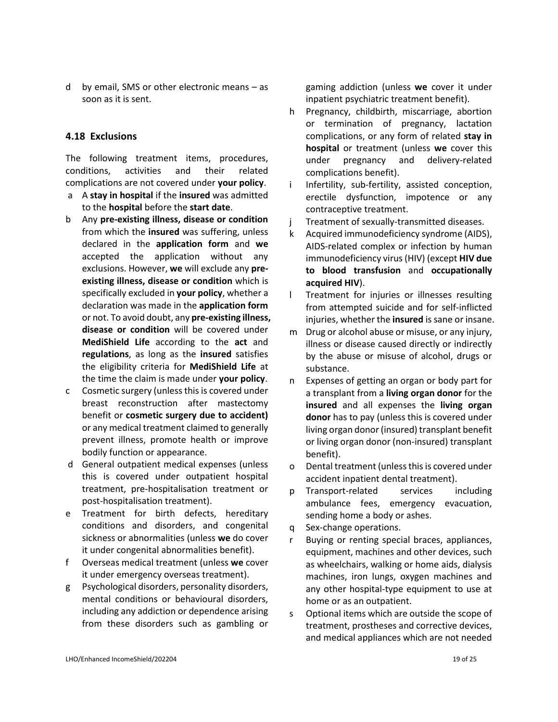d by email, SMS or other electronic means – as soon as it is sent.

#### **4.18 Exclusions**

The following treatment items, procedures, conditions, activities and their related complications are not covered under **your policy**.

- a A **stay in hospital** if the **insured** was admitted to the **hospital** before the **start date**.
- b Any **pre-existing illness, disease or condition** from which the **insured** was suffering, unless declared in the **application form** and **we** accepted the application without any exclusions. However, **we** will exclude any **preexisting illness, disease or condition** which is specifically excluded in **your policy**, whether a declaration was made in the **application form** or not. To avoid doubt, any **pre-existing illness, disease or condition** will be covered under **MediShield Life** according to the **act** and **regulations**, as long as the **insured** satisfies the eligibility criteria for **MediShield Life** at the time the claim is made under **your policy**.
- c Cosmetic surgery (unless this is covered under breast reconstruction after mastectomy benefit or **cosmetic surgery due to accident)** or any medical treatment claimed to generally prevent illness, promote health or improve bodily function or appearance.
- d General outpatient medical expenses (unless this is covered under outpatient hospital treatment, pre-hospitalisation treatment or post-hospitalisation treatment).
- e Treatment for birth defects, hereditary conditions and disorders, and congenital sickness or abnormalities (unless **we** do cover it under congenital abnormalities benefit).
- f Overseas medical treatment (unless **we** cover it under emergency overseas treatment).
- g Psychological disorders, personality disorders, mental conditions or behavioural disorders, including any addiction or dependence arising from these disorders such as gambling or

gaming addiction (unless **we** cover it under inpatient psychiatric treatment benefit).

- h Pregnancy, childbirth, miscarriage, abortion or termination of pregnancy, lactation complications, or any form of related **stay in hospital** or treatment (unless **we** cover this under pregnancy and delivery-related complications benefit).
- i Infertility, sub-fertility, assisted conception, erectile dysfunction, impotence or any contraceptive treatment.
- j Treatment of sexually-transmitted diseases.
- k Acquired immunodeficiency syndrome (AIDS), AIDS-related complex or infection by human immunodeficiency virus (HIV) (except **HIV due to blood transfusion** and **occupationally acquired HIV**).
- l Treatment for injuries or illnesses resulting from attempted suicide and for self-inflicted injuries, whether the **insured** is sane or insane.
- m Drug or alcohol abuse or misuse, or any injury, illness or disease caused directly or indirectly by the abuse or misuse of alcohol, drugs or substance.
- n Expenses of getting an organ or body part for a transplant from a **living organ donor** for the **insured** and all expenses the **living organ donor** has to pay (unless this is covered under living organ donor (insured) transplant benefit or living organ donor (non-insured) transplant benefit).
- o Dental treatment (unless this is covered under accident inpatient dental treatment).
- p Transport-related services including ambulance fees, emergency evacuation, sending home a body or ashes.
- q Sex-change operations.
- r Buying or renting special braces, appliances, equipment, machines and other devices, such as wheelchairs, walking or home aids, dialysis machines, iron lungs, oxygen machines and any other hospital-type equipment to use at home or as an outpatient.
- s Optional items which are outside the scope of treatment, prostheses and corrective devices, and medical appliances which are not needed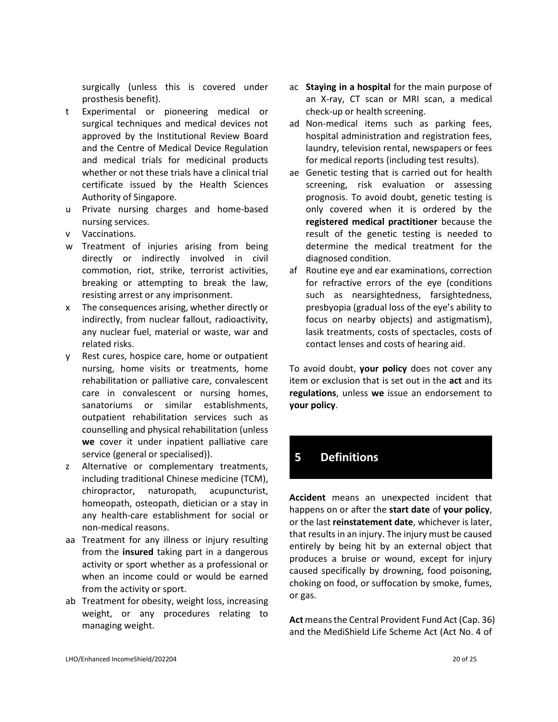surgically (unless this is covered under prosthesis benefit).

- t Experimental or pioneering medical or surgical techniques and medical devices not approved by the Institutional Review Board and the Centre of Medical Device Regulation and medical trials for medicinal products whether or not these trials have a clinical trial certificate issued by the Health Sciences Authority of Singapore.
- u Private nursing charges and home-based nursing services.
- v Vaccinations.
- w Treatment of injuries arising from being directly or indirectly involved in civil commotion, riot, strike, terrorist activities, breaking or attempting to break the law, resisting arrest or any imprisonment.
- x The consequences arising, whether directly or indirectly, from nuclear fallout, radioactivity, any nuclear fuel, material or waste, war and related risks.
- y Rest cures, hospice care, home or outpatient nursing, home visits or treatments, home rehabilitation or palliative care, convalescent care in convalescent or nursing homes, sanatoriums or similar establishments, outpatient rehabilitation services such as counselling and physical rehabilitation (unless **we** cover it under inpatient palliative care service (general or specialised)).
- z Alternative or complementary treatments, including traditional Chinese medicine (TCM), chiropractor, naturopath, acupuncturist, homeopath, osteopath, dietician or a stay in any health-care establishment for social or non-medical reasons.
- aa Treatment for any illness or injury resulting from the **insured** taking part in a dangerous activity or sport whether as a professional or when an income could or would be earned from the activity or sport.
- ab Treatment for obesity, weight loss, increasing weight, or any procedures relating to managing weight.
- ac **Staying in a hospital** for the main purpose of an X-ray, CT scan or MRI scan, a medical check-up or health screening.
- ad Non-medical items such as parking fees, hospital administration and registration fees, laundry, television rental, newspapers or fees for medical reports (including test results).
- ae Genetic testing that is carried out for health screening, risk evaluation or assessing prognosis. To avoid doubt, genetic testing is only covered when it is ordered by the **registered medical practitioner** because the result of the genetic testing is needed to determine the medical treatment for the diagnosed condition.
- af Routine eye and ear examinations, correction for refractive errors of the eye (conditions such as nearsightedness, farsightedness, presbyopia (gradual loss of the eye's ability to focus on nearby objects) and astigmatism), lasik treatments, costs of spectacles, costs of contact lenses and costs of hearing aid.

To avoid doubt, **your policy** does not cover any item or exclusion that is set out in the **act** and its **regulations**, unless **we** issue an endorsement to **your policy**.

# **5 Definitions**

**Accident** means an unexpected incident that happens on or after the **start date** of **your policy**, or the last **reinstatement date**, whichever is later, that results in an injury. The injury must be caused entirely by being hit by an external object that produces a bruise or wound, except for injury caused specifically by drowning, food poisoning, choking on food, or suffocation by smoke, fumes, or gas.

**Act** means the Central Provident Fund Act (Cap. 36) and the MediShield Life Scheme Act (Act No. 4 of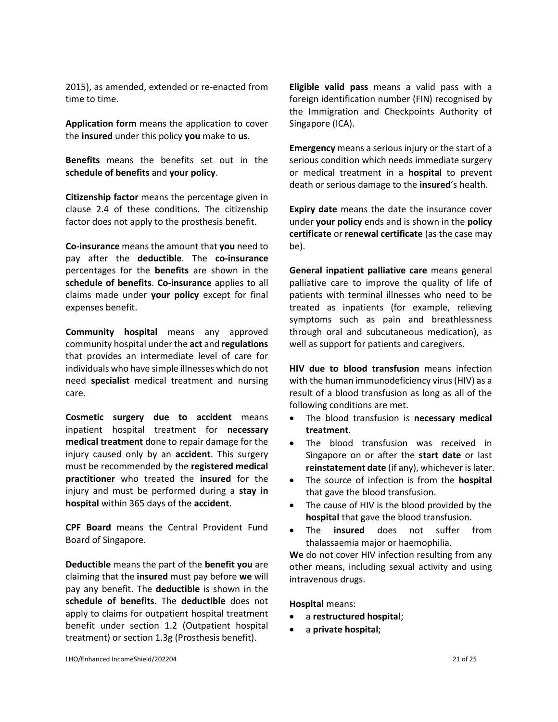2015), as amended, extended or re-enacted from time to time.

**Application form** means the application to cover the **insured** under this policy **you** make to **us**.

**Benefits** means the benefits set out in the **schedule of benefits** and **your policy**.

**Citizenship factor** means the percentage given in clause 2.4 of these conditions. The citizenship factor does not apply to the prosthesis benefit.

**Co-insurance** means the amount that **you** need to pay after the **deductible**. The **co-insurance**  percentages for the **benefits** are shown in the **schedule of benefits**. **Co-insurance** applies to all claims made under **your policy** except for final expenses benefit.

**Community hospital** means any approved community hospital under the **act** and **regulations** that provides an intermediate level of care for individuals who have simple illnesses which do not need **specialist** medical treatment and nursing care.

**Cosmetic surgery due to accident** means inpatient hospital treatment for **necessary medical treatment** done to repair damage for the injury caused only by an **accident**. This surgery must be recommended by the **registered medical practitioner** who treated the **insured** for the injury and must be performed during a **stay in hospital** within 365 days of the **accident**.

**CPF Board** means the Central Provident Fund Board of Singapore.

**Deductible** means the part of the **benefit you** are claiming that the **insured** must pay before **we** will pay any benefit. The **deductible** is shown in the **schedule of benefits**. The **deductible** does not apply to claims for outpatient hospital treatment benefit under section 1.2 (Outpatient hospital treatment) or section 1.3g (Prosthesis benefit).

**Eligible valid pass** means a valid pass with a foreign identification number (FIN) recognised by the Immigration and Checkpoints Authority of Singapore (ICA).

**Emergency** means a serious injury or the start of a serious condition which needs immediate surgery or medical treatment in a **hospital** to prevent death or serious damage to the **insured**'s health.

**Expiry date** means the date the insurance cover under **your policy** ends and is shown in the **policy certificate** or **renewal certificate** (as the case may be).

**General inpatient palliative care** means general palliative care to improve the quality of life of patients with terminal illnesses who need to be treated as inpatients (for example, relieving symptoms such as pain and breathlessness through oral and subcutaneous medication), as well as support for patients and caregivers.

**HIV due to blood transfusion** means infection with the human immunodeficiency virus (HIV) as a result of a blood transfusion as long as all of the following conditions are met.

- The blood transfusion is **necessary medical treatment**.
- The blood transfusion was received in Singapore on or after the **start date** or last **reinstatement date** (if any), whichever is later.
- The source of infection is from the **hospital** that gave the blood transfusion.
- The cause of HIV is the blood provided by the **hospital** that gave the blood transfusion.
- The **insured** does not suffer from thalassaemia major or haemophilia.

**We** do not cover HIV infection resulting from any other means, including sexual activity and using intravenous drugs.

**Hospital** means:

- a **restructured hospital**;
- a **private hospital**;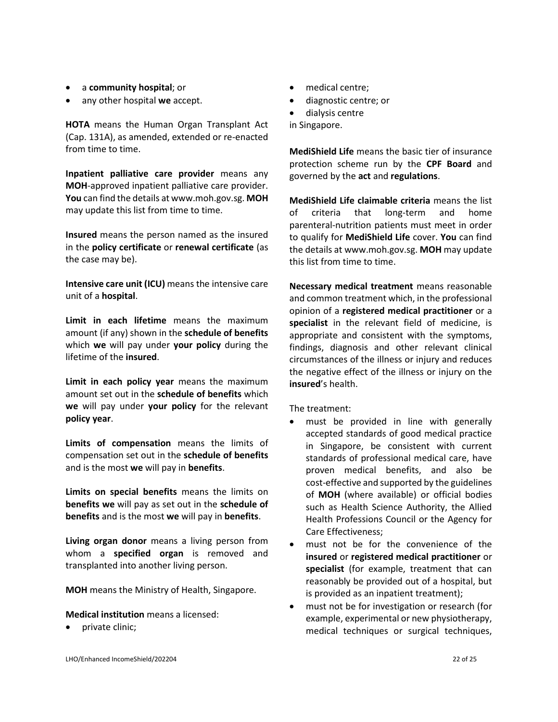- a **community hospital**; or
- any other hospital **we** accept.

**HOTA** means the Human Organ Transplant Act (Cap. 131A), as amended, extended or re-enacted from time to time.

**Inpatient palliative care provider** means any **MOH**-approved inpatient palliative care provider. **You** can find the details at www.moh.gov.sg. **MOH** may update this list from time to time.

**Insured** means the person named as the insured in the **policy certificate** or **renewal certificate** (as the case may be).

**Intensive care unit (ICU)** means the intensive care unit of a **hospital**.

**Limit in each lifetime** means the maximum amount (if any) shown in the **schedule of benefits** which **we** will pay under **your policy** during the lifetime of the **insured**.

**Limit in each policy year** means the maximum amount set out in the **schedule of benefits** which **we** will pay under **your policy** for the relevant **policy year**.

**Limits of compensation** means the limits of compensation set out in the **schedule of benefits** and is the most **we** will pay in **benefits**.

**Limits on special benefits** means the limits on **benefits we** will pay as set out in the **schedule of benefits** and is the most **we** will pay in **benefits**.

**Living organ donor** means a living person from whom a **specified organ** is removed and transplanted into another living person.

**MOH** means the Ministry of Health, Singapore.

**Medical institution** means a licensed:

• private clinic;

- medical centre;
- diagnostic centre; or
- dialysis centre

in Singapore.

**MediShield Life** means the basic tier of insurance protection scheme run by the **CPF Board** and governed by the **act** and **regulations**.

**MediShield Life claimable criteria** means the list of criteria that long-term and home parenteral-nutrition patients must meet in order to qualify for **MediShield Life** cover. **You** can find the details at www.moh.gov.sg. **MOH** may update this list from time to time.

**Necessary medical treatment** means reasonable and common treatment which, in the professional opinion of a **registered medical practitioner** or a **specialist** in the relevant field of medicine, is appropriate and consistent with the symptoms, findings, diagnosis and other relevant clinical circumstances of the illness or injury and reduces the negative effect of the illness or injury on the **insured**'s health.

The treatment:

- must be provided in line with generally accepted standards of good medical practice in Singapore, be consistent with current standards of professional medical care, have proven medical benefits, and also be cost-effective and supported by the guidelines of **MOH** (where available) or official bodies such as Health Science Authority, the Allied Health Professions Council or the Agency for Care Effectiveness;
- must not be for the convenience of the **insured** or **registered medical practitioner** or **specialist** (for example, treatment that can reasonably be provided out of a hospital, but is provided as an inpatient treatment);
- must not be for investigation or research (for example, experimental or new physiotherapy, medical techniques or surgical techniques,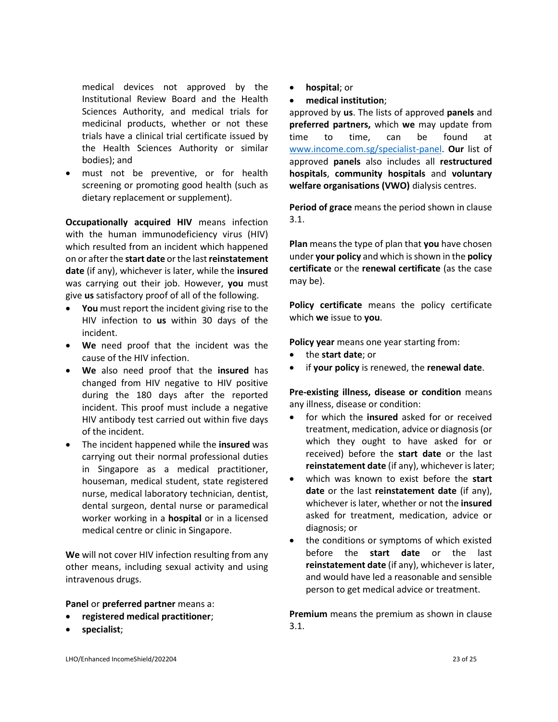medical devices not approved by the Institutional Review Board and the Health Sciences Authority, and medical trials for medicinal products, whether or not these trials have a clinical trial certificate issued by the Health Sciences Authority or similar bodies); and

• must not be preventive, or for health screening or promoting good health (such as dietary replacement or supplement).

**Occupationally acquired HIV** means infection with the human immunodeficiency virus (HIV) which resulted from an incident which happened on or after the **start date** or the last **reinstatement date** (if any), whichever is later, while the **insured** was carrying out their job. However, **you** must give **us** satisfactory proof of all of the following.

- **You** must report the incident giving rise to the HIV infection to **us** within 30 days of the incident.
- **We** need proof that the incident was the cause of the HIV infection.
- **We** also need proof that the **insured** has changed from HIV negative to HIV positive during the 180 days after the reported incident. This proof must include a negative HIV antibody test carried out within five days of the incident.
- The incident happened while the **insured** was carrying out their normal professional duties in Singapore as a medical practitioner, houseman, medical student, state registered nurse, medical laboratory technician, dentist, dental surgeon, dental nurse or paramedical worker working in a **hospital** or in a licensed medical centre or clinic in Singapore.

**We** will not cover HIV infection resulting from any other means, including sexual activity and using intravenous drugs.

#### **Panel** or **preferred partner** means a:

- **registered medical practitioner**;
- **specialist**;
- **hospital**; or
- **medical institution**;

approved by **us**. The lists of approved **panels** and **preferred partners,** which **we** may update from time to time, can be found at [www.income.com.sg/](http://www.income.com.sg/)specialist-panel. **Our** list of approved **panels** also includes all **restructured hospitals**, **community hospitals** and **voluntary welfare organisations (VWO)** dialysis centres.

**Period of grace** means the period shown in clause 3.1.

**Plan** means the type of plan that **you** have chosen under **your policy** and which is shown in the **policy certificate** or the **renewal certificate** (as the case may be).

**Policy certificate** means the policy certificate which **we** issue to **you**.

**Policy year** means one year starting from:

- the **start date**; or
- if **your policy** is renewed, the **renewal date**.

**Pre-existing illness, disease or condition** means any illness, disease or condition:

- for which the **insured** asked for or received treatment, medication, advice or diagnosis (or which they ought to have asked for or received) before the **start date** or the last **reinstatement date** (if any), whichever is later;
- which was known to exist before the **start date** or the last **reinstatement date** (if any), whichever is later, whether or not the **insured** asked for treatment, medication, advice or diagnosis; or
- the conditions or symptoms of which existed before the **start date** or the last **reinstatement date** (if any), whichever is later, and would have led a reasonable and sensible person to get medical advice or treatment.

**Premium** means the premium as shown in clause 3.1.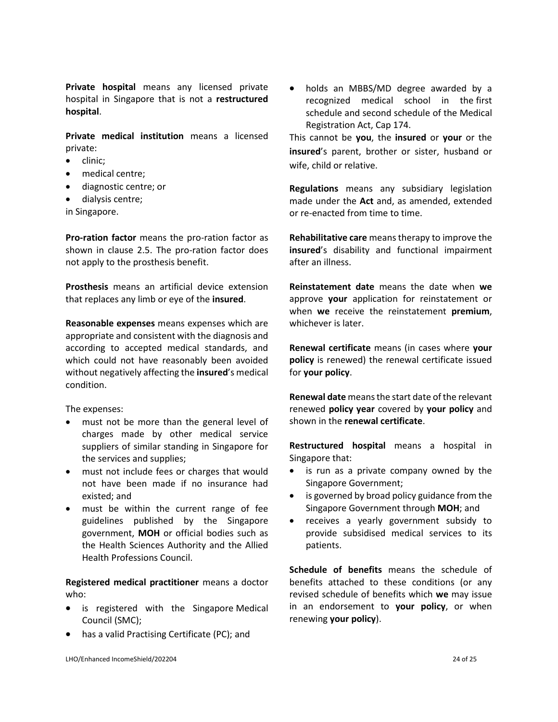**Private hospital** means any licensed private hospital in Singapore that is not a **restructured hospital**.

**Private medical institution** means a licensed private:

- clinic;
- medical centre;
- diagnostic centre; or
- dialysis centre;

in Singapore.

**Pro-ration factor** means the pro-ration factor as shown in clause 2.5. The pro-ration factor does not apply to the prosthesis benefit.

**Prosthesis** means an artificial device extension that replaces any limb or eye of the **insured**.

**Reasonable expenses** means expenses which are appropriate and consistent with the diagnosis and according to accepted medical standards, and which could not have reasonably been avoided without negatively affecting the **insured**'s medical condition.

The expenses:

- must not be more than the general level of charges made by other medical service suppliers of similar standing in Singapore for the services and supplies;
- must not include fees or charges that would not have been made if no insurance had existed; and
- must be within the current range of fee guidelines published by the Singapore government, **MOH** or official bodies such as the Health Sciences Authority and the Allied Health Professions Council.

**Registered medical practitioner** means a doctor who:

- is registered with the Singapore Medical Council (SMC);
- has a valid Practising Certificate (PC); and

• holds an MBBS/MD degree awarded by a recognized medical school in the first schedule and second schedule of the Medical Registration Act, Cap 174.

This cannot be **you**, the **insured** or **your** or the **insured**'s parent, brother or sister, husband or wife, child or relative.

**Regulations** means any subsidiary legislation made under the **Act** and, as amended, extended or re-enacted from time to time.

**Rehabilitative care** means therapy to improve the **insured**'s disability and functional impairment after an illness.

**Reinstatement date** means the date when **we** approve **your** application for reinstatement or when **we** receive the reinstatement **premium**, whichever is later.

**Renewal certificate** means (in cases where **your policy** is renewed) the renewal certificate issued for **your policy**.

**Renewal date** means the start date of the relevant renewed **policy year** covered by **your policy** and shown in the **renewal certificate**.

**Restructured hospital** means a hospital in Singapore that:

- is run as a private company owned by the Singapore Government;
- is governed by broad policy guidance from the Singapore Government through **MOH**; and
- receives a yearly government subsidy to provide subsidised medical services to its patients.

**Schedule of benefits** means the schedule of benefits attached to these conditions (or any revised schedule of benefits which **we** may issue in an endorsement to **your policy**, or when renewing **your policy**).